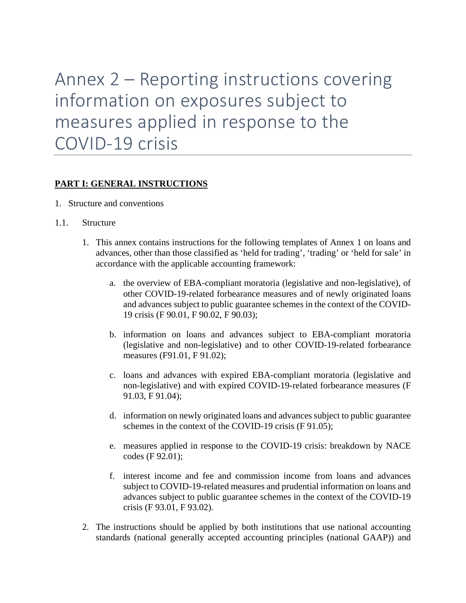Annex 2 – Reporting instructions covering information on exposures subject to measures applied in response to the COVID-19 crisis

# **PART I: GENERAL INSTRUCTIONS**

- 1. Structure and conventions
- 1.1. Structure
	- 1. This annex contains instructions for the following templates of Annex 1 on loans and advances, other than those classified as 'held for trading', 'trading' or 'held for sale' in accordance with the applicable accounting framework:
		- a. the overview of EBA-compliant moratoria (legislative and non-legislative), of other COVID-19-related forbearance measures and of newly originated loans and advances subject to public guarantee schemes in the context of the COVID-19 crisis (F 90.01, F 90.02, F 90.03);
		- b. information on loans and advances subject to EBA-compliant moratoria (legislative and non-legislative) and to other COVID-19-related forbearance measures (F91.01, F 91.02);
		- c. loans and advances with expired EBA-compliant moratoria (legislative and non-legislative) and with expired COVID-19-related forbearance measures (F 91.03, F 91.04);
		- d. information on newly originated loans and advances subject to public guarantee schemes in the context of the COVID-19 crisis (F 91.05);
		- e. measures applied in response to the COVID-19 crisis: breakdown by NACE codes (F 92.01);
		- f. interest income and fee and commission income from loans and advances subject to COVID-19-related measures and prudential information on loans and advances subject to public guarantee schemes in the context of the COVID-19 crisis (F 93.01, F 93.02).
	- 2. The instructions should be applied by both institutions that use national accounting standards (national generally accepted accounting principles (national GAAP)) and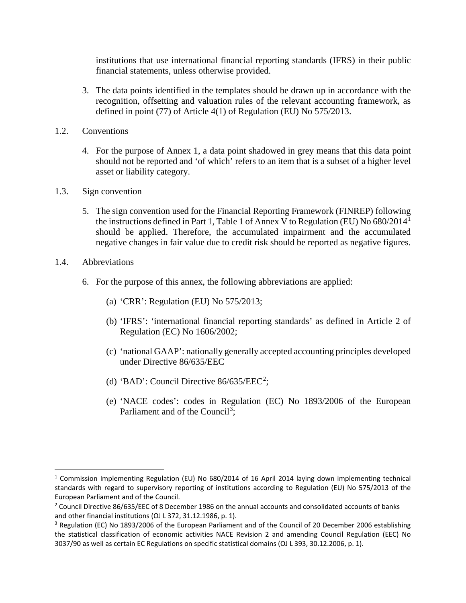institutions that use international financial reporting standards (IFRS) in their public financial statements, unless otherwise provided.

- 3. The data points identified in the templates should be drawn up in accordance with the recognition, offsetting and valuation rules of the relevant accounting framework, as defined in point (77) of Article 4(1) of Regulation (EU) No 575/2013.
- 1.2. Conventions
	- 4. For the purpose of Annex 1, a data point shadowed in grey means that this data point should not be reported and 'of which' refers to an item that is a subset of a higher level asset or liability category.
- 1.3. Sign convention
	- 5. The sign convention used for the Financial Reporting Framework (FINREP) following the instructions defined in Part 1, Table 1 of Annex V to Regulation (EU) No 680/2014[1](#page-1-0) should be applied. Therefore, the accumulated impairment and the accumulated negative changes in fair value due to credit risk should be reported as negative figures.
- 1.4. Abbreviations
	- 6. For the purpose of this annex, the following abbreviations are applied:
		- (a) 'CRR': Regulation (EU) No 575/2013;
		- (b) 'IFRS': 'international financial reporting standards' as defined in Article 2 of Regulation (EC) No 1606/2002;
		- (c) 'national GAAP': nationally generally accepted accounting principles developed under Directive 86/635/EEC
		- (d) 'BAD': Council Directive  $86/635/EEC^2$  $86/635/EEC^2$ ;
		- (e) 'NACE codes': codes in Regulation (EC) No 1893/2006 of the European Parliament and of the Council<sup>[3](#page-1-2)</sup>;

<span id="page-1-0"></span><sup>&</sup>lt;sup>1</sup> Commission Implementing Regulation (EU) No 680/2014 of 16 April 2014 laying down implementing technical standards with regard to supervisory reporting of institutions according to Regulation (EU) No 575/2013 of the European Parliament and of the Council.

<span id="page-1-1"></span><sup>&</sup>lt;sup>2</sup> Council Directive 86/635/EEC of 8 December 1986 on the annual accounts and consolidated accounts of banks and other financial institutions (OJ L 372, 31.12.1986, p. 1).

<span id="page-1-2"></span><sup>&</sup>lt;sup>3</sup> Regulation (EC) No 1893/2006 of the European Parliament and of the Council of 20 December 2006 establishing the statistical classification of economic activities NACE Revision 2 and amending Council Regulation (EEC) No 3037/90 as well as certain EC Regulations on specific statistical domains (OJ L 393, 30.12.2006, p. 1).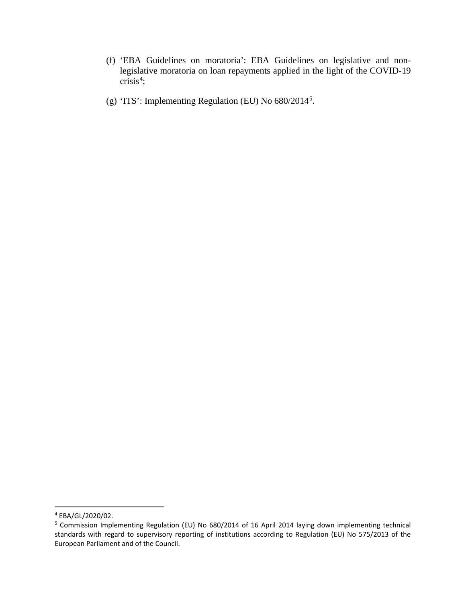- (f) 'EBA Guidelines on moratoria': EBA Guidelines on legislative and nonlegislative moratoria on loan repayments applied in the light of the COVID-19  $crisis<sup>4</sup>;$  $crisis<sup>4</sup>;$  $crisis<sup>4</sup>;$
- (g) 'ITS': Implementing Regulation (EU) No 680/2014<sup>[5](#page-2-1)</sup>.

<span id="page-2-0"></span> <sup>4</sup> EBA/GL/2020/02.

<span id="page-2-1"></span><sup>5</sup> Commission Implementing Regulation (EU) No 680/2014 of 16 April 2014 laying down implementing technical standards with regard to supervisory reporting of institutions according to Regulation (EU) No 575/2013 of the European Parliament and of the Council.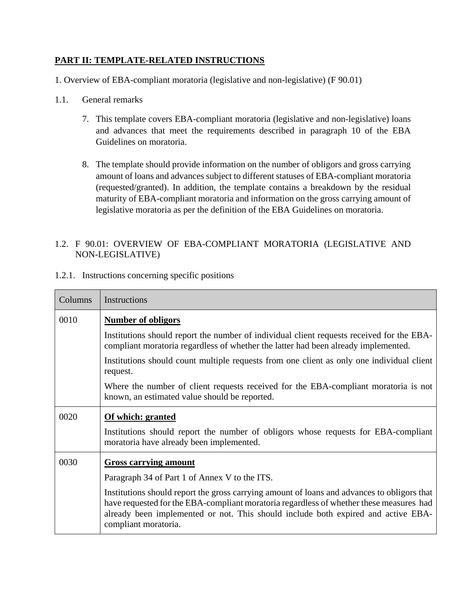# **PART II: TEMPLATE-RELATED INSTRUCTIONS**

1. Overview of EBA-compliant moratoria (legislative and non-legislative) (F 90.01)

- 1.1. General remarks
	- 7. This template covers EBA-compliant moratoria (legislative and non-legislative) loans and advances that meet the requirements described in paragraph 10 of the EBA Guidelines on moratoria.
	- 8. The template should provide information on the number of obligors and gross carrying amount of loans and advances subject to different statuses of EBA-compliant moratoria (requested/granted). In addition, the template contains a breakdown by the residual maturity of EBA-compliant moratoria and information on the gross carrying amount of legislative moratoria as per the definition of the EBA Guidelines on moratoria.

# 1.2. F 90.01: OVERVIEW OF EBA-COMPLIANT MORATORIA (LEGISLATIVE AND NON-LEGISLATIVE)

|  | 1.2.1. Instructions concerning specific positions |  |  |  |
|--|---------------------------------------------------|--|--|--|
|--|---------------------------------------------------|--|--|--|

| Columns | Instructions                                                                                                                                                                                                                                                                                        |  |
|---------|-----------------------------------------------------------------------------------------------------------------------------------------------------------------------------------------------------------------------------------------------------------------------------------------------------|--|
| 0010    | <b>Number of obligors</b>                                                                                                                                                                                                                                                                           |  |
|         | Institutions should report the number of individual client requests received for the EBA-<br>compliant moratoria regardless of whether the latter had been already implemented.                                                                                                                     |  |
|         | Institutions should count multiple requests from one client as only one individual client<br>request.                                                                                                                                                                                               |  |
|         | Where the number of client requests received for the EBA-compliant moratoria is not<br>known, an estimated value should be reported.                                                                                                                                                                |  |
| 0020    | Of which: granted                                                                                                                                                                                                                                                                                   |  |
|         | Institutions should report the number of obligors whose requests for EBA-compliant<br>moratoria have already been implemented.                                                                                                                                                                      |  |
| 0030    | <b>Gross carrying amount</b>                                                                                                                                                                                                                                                                        |  |
|         | Paragraph 34 of Part 1 of Annex V to the ITS.                                                                                                                                                                                                                                                       |  |
|         | Institutions should report the gross carrying amount of loans and advances to obligors that<br>have requested for the EBA-compliant moratoria regardless of whether these measures had<br>already been implemented or not. This should include both expired and active EBA-<br>compliant moratoria. |  |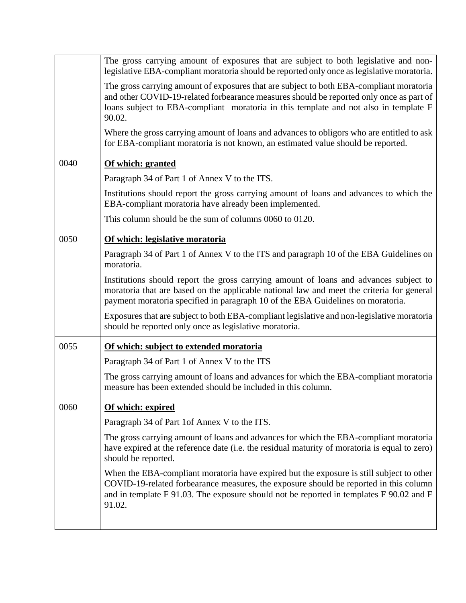|      | The gross carrying amount of exposures that are subject to both legislative and non-<br>legislative EBA-compliant moratoria should be reported only once as legislative moratoria.                                                                                                     |
|------|----------------------------------------------------------------------------------------------------------------------------------------------------------------------------------------------------------------------------------------------------------------------------------------|
|      | The gross carrying amount of exposures that are subject to both EBA-compliant moratoria<br>and other COVID-19-related forbearance measures should be reported only once as part of<br>loans subject to EBA-compliant moratoria in this template and not also in template F<br>90.02.   |
|      | Where the gross carrying amount of loans and advances to obligors who are entitled to ask<br>for EBA-compliant moratoria is not known, an estimated value should be reported.                                                                                                          |
| 0040 | Of which: granted                                                                                                                                                                                                                                                                      |
|      | Paragraph 34 of Part 1 of Annex V to the ITS.                                                                                                                                                                                                                                          |
|      | Institutions should report the gross carrying amount of loans and advances to which the<br>EBA-compliant moratoria have already been implemented.                                                                                                                                      |
|      | This column should be the sum of columns 0060 to 0120.                                                                                                                                                                                                                                 |
| 0050 | Of which: legislative moratoria                                                                                                                                                                                                                                                        |
|      | Paragraph 34 of Part 1 of Annex V to the ITS and paragraph 10 of the EBA Guidelines on<br>moratoria.                                                                                                                                                                                   |
|      | Institutions should report the gross carrying amount of loans and advances subject to<br>moratoria that are based on the applicable national law and meet the criteria for general<br>payment moratoria specified in paragraph 10 of the EBA Guidelines on moratoria.                  |
|      | Exposures that are subject to both EBA-compliant legislative and non-legislative moratoria<br>should be reported only once as legislative moratoria.                                                                                                                                   |
| 0055 | Of which: subject to extended moratoria                                                                                                                                                                                                                                                |
|      | Paragraph 34 of Part 1 of Annex V to the ITS                                                                                                                                                                                                                                           |
|      | The gross carrying amount of loans and advances for which the EBA-compliant moratoria<br>measure has been extended should be included in this column.                                                                                                                                  |
| 0060 | Of which: expired                                                                                                                                                                                                                                                                      |
|      | Paragraph 34 of Part 1of Annex V to the ITS.                                                                                                                                                                                                                                           |
|      | The gross carrying amount of loans and advances for which the EBA-compliant moratoria<br>have expired at the reference date (i.e. the residual maturity of moratoria is equal to zero)<br>should be reported.                                                                          |
|      | When the EBA-compliant moratoria have expired but the exposure is still subject to other<br>COVID-19-related forbearance measures, the exposure should be reported in this column<br>and in template F 91.03. The exposure should not be reported in templates F 90.02 and F<br>91.02. |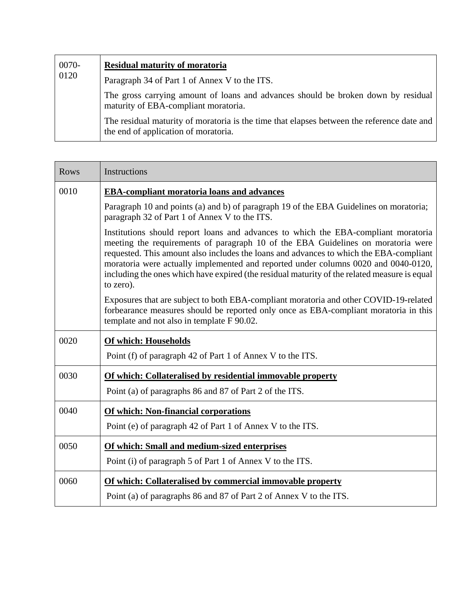| 0070-<br>0120 | <b>Residual maturity of moratoria</b>                                                                                              |
|---------------|------------------------------------------------------------------------------------------------------------------------------------|
|               | Paragraph 34 of Part 1 of Annex V to the ITS.                                                                                      |
|               | The gross carrying amount of loans and advances should be broken down by residual<br>maturity of EBA-compliant moratoria.          |
|               | The residual maturity of moratoria is the time that elapses between the reference date and<br>the end of application of moratoria. |

| <b>Rows</b> | Instructions                                                                                                                                                                                                                                                                                                                                                                                                                                                        |
|-------------|---------------------------------------------------------------------------------------------------------------------------------------------------------------------------------------------------------------------------------------------------------------------------------------------------------------------------------------------------------------------------------------------------------------------------------------------------------------------|
| 0010        | <b>EBA-compliant moratoria loans and advances</b>                                                                                                                                                                                                                                                                                                                                                                                                                   |
|             | Paragraph 10 and points (a) and b) of paragraph 19 of the EBA Guidelines on moratoria;<br>paragraph 32 of Part 1 of Annex V to the ITS.                                                                                                                                                                                                                                                                                                                             |
|             | Institutions should report loans and advances to which the EBA-compliant moratoria<br>meeting the requirements of paragraph 10 of the EBA Guidelines on moratoria were<br>requested. This amount also includes the loans and advances to which the EBA-compliant<br>moratoria were actually implemented and reported under columns 0020 and 0040-0120,<br>including the ones which have expired (the residual maturity of the related measure is equal<br>to zero). |
|             | Exposures that are subject to both EBA-compliant moratoria and other COVID-19-related<br>forbearance measures should be reported only once as EBA-compliant moratoria in this<br>template and not also in template F 90.02.                                                                                                                                                                                                                                         |
| 0020        | Of which: Households                                                                                                                                                                                                                                                                                                                                                                                                                                                |
|             | Point (f) of paragraph 42 of Part 1 of Annex V to the ITS.                                                                                                                                                                                                                                                                                                                                                                                                          |
| 0030        | Of which: Collateralised by residential immovable property                                                                                                                                                                                                                                                                                                                                                                                                          |
|             | Point (a) of paragraphs 86 and 87 of Part 2 of the ITS.                                                                                                                                                                                                                                                                                                                                                                                                             |
| 0040        | <b>Of which: Non-financial corporations</b>                                                                                                                                                                                                                                                                                                                                                                                                                         |
|             | Point (e) of paragraph 42 of Part 1 of Annex V to the ITS.                                                                                                                                                                                                                                                                                                                                                                                                          |
| 0050        | Of which: Small and medium-sized enterprises                                                                                                                                                                                                                                                                                                                                                                                                                        |
|             | Point (i) of paragraph 5 of Part 1 of Annex V to the ITS.                                                                                                                                                                                                                                                                                                                                                                                                           |
| 0060        | Of which: Collateralised by commercial immovable property                                                                                                                                                                                                                                                                                                                                                                                                           |
|             | Point (a) of paragraphs 86 and 87 of Part 2 of Annex V to the ITS.                                                                                                                                                                                                                                                                                                                                                                                                  |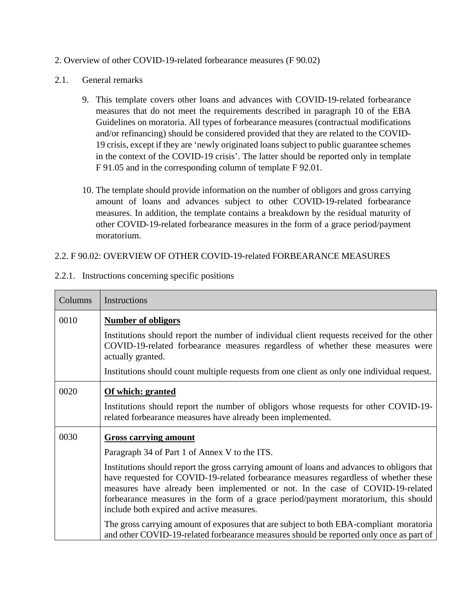#### 2. Overview of other COVID-19-related forbearance measures (F 90.02)

#### 2.1. General remarks

- 9. This template covers other loans and advances with COVID-19-related forbearance measures that do not meet the requirements described in paragraph 10 of the EBA Guidelines on moratoria. All types of forbearance measures (contractual modifications and/or refinancing) should be considered provided that they are related to the COVID-19 crisis, except if they are 'newly originated loans subject to public guarantee schemes in the context of the COVID-19 crisis'. The latter should be reported only in template F 91.05 and in the corresponding column of template F 92.01.
- 10. The template should provide information on the number of obligors and gross carrying amount of loans and advances subject to other COVID-19-related forbearance measures. In addition, the template contains a breakdown by the residual maturity of other COVID-19-related forbearance measures in the form of a grace period/payment moratorium.

### 2.2. F 90.02: OVERVIEW OF OTHER COVID-19-related FORBEARANCE MEASURES

| Columns | Instructions                                                                                                                                                                                                                                                                                                                                                                                             |  |
|---------|----------------------------------------------------------------------------------------------------------------------------------------------------------------------------------------------------------------------------------------------------------------------------------------------------------------------------------------------------------------------------------------------------------|--|
| 0010    | <b>Number of obligors</b>                                                                                                                                                                                                                                                                                                                                                                                |  |
|         | Institutions should report the number of individual client requests received for the other<br>COVID-19-related forbearance measures regardless of whether these measures were<br>actually granted.                                                                                                                                                                                                       |  |
|         | Institutions should count multiple requests from one client as only one individual request.                                                                                                                                                                                                                                                                                                              |  |
| 0020    | Of which: granted                                                                                                                                                                                                                                                                                                                                                                                        |  |
|         | Institutions should report the number of obligors whose requests for other COVID-19-<br>related forbearance measures have already been implemented.                                                                                                                                                                                                                                                      |  |
| 0030    | <b>Gross carrying amount</b>                                                                                                                                                                                                                                                                                                                                                                             |  |
|         | Paragraph 34 of Part 1 of Annex V to the ITS.                                                                                                                                                                                                                                                                                                                                                            |  |
|         | Institutions should report the gross carrying amount of loans and advances to obligors that<br>have requested for COVID-19-related forbearance measures regardless of whether these<br>measures have already been implemented or not. In the case of COVID-19-related<br>forbearance measures in the form of a grace period/payment moratorium, this should<br>include both expired and active measures. |  |
|         | The gross carrying amount of exposures that are subject to both EBA-compliant moratoria<br>and other COVID-19-related forbearance measures should be reported only once as part of                                                                                                                                                                                                                       |  |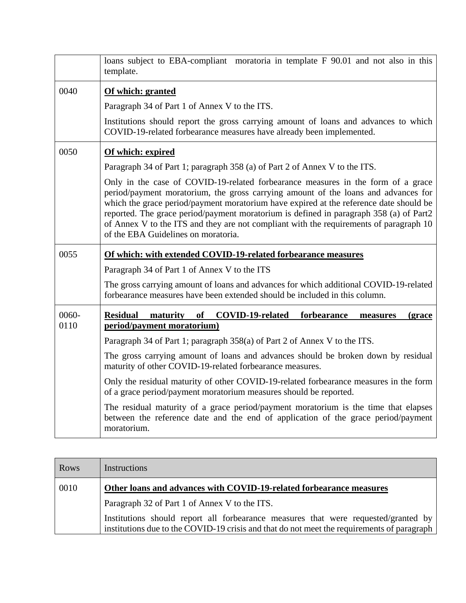|       | loans subject to EBA-compliant moratoria in template F 90.01 and not also in this<br>template.                                                                                                                                                                                                                                                                                                                                                                                              |
|-------|---------------------------------------------------------------------------------------------------------------------------------------------------------------------------------------------------------------------------------------------------------------------------------------------------------------------------------------------------------------------------------------------------------------------------------------------------------------------------------------------|
| 0040  | Of which: granted                                                                                                                                                                                                                                                                                                                                                                                                                                                                           |
|       | Paragraph 34 of Part 1 of Annex V to the ITS.                                                                                                                                                                                                                                                                                                                                                                                                                                               |
|       | Institutions should report the gross carrying amount of loans and advances to which<br>COVID-19-related forbearance measures have already been implemented.                                                                                                                                                                                                                                                                                                                                 |
| 0050  | Of which: expired                                                                                                                                                                                                                                                                                                                                                                                                                                                                           |
|       | Paragraph 34 of Part 1; paragraph 358 (a) of Part 2 of Annex V to the ITS.                                                                                                                                                                                                                                                                                                                                                                                                                  |
|       | Only in the case of COVID-19-related forbearance measures in the form of a grace<br>period/payment moratorium, the gross carrying amount of the loans and advances for<br>which the grace period/payment moratorium have expired at the reference date should be<br>reported. The grace period/payment moratorium is defined in paragraph 358 (a) of Part2<br>of Annex V to the ITS and they are not compliant with the requirements of paragraph 10<br>of the EBA Guidelines on moratoria. |
| 0055  | Of which: with extended COVID-19-related forbearance measures                                                                                                                                                                                                                                                                                                                                                                                                                               |
|       | Paragraph 34 of Part 1 of Annex V to the ITS                                                                                                                                                                                                                                                                                                                                                                                                                                                |
|       |                                                                                                                                                                                                                                                                                                                                                                                                                                                                                             |
|       | The gross carrying amount of loans and advances for which additional COVID-19-related<br>forbearance measures have been extended should be included in this column.                                                                                                                                                                                                                                                                                                                         |
| 0060- | COVID-19-related<br><b>Residual</b><br>maturity<br>of<br>forbearance<br>(grace<br>measures                                                                                                                                                                                                                                                                                                                                                                                                  |
| 0110  | period/payment moratorium)                                                                                                                                                                                                                                                                                                                                                                                                                                                                  |
|       | Paragraph 34 of Part 1; paragraph 358(a) of Part 2 of Annex V to the ITS.                                                                                                                                                                                                                                                                                                                                                                                                                   |
|       | The gross carrying amount of loans and advances should be broken down by residual<br>maturity of other COVID-19-related forbearance measures.                                                                                                                                                                                                                                                                                                                                               |
|       | Only the residual maturity of other COVID-19-related forbearance measures in the form<br>of a grace period/payment moratorium measures should be reported.                                                                                                                                                                                                                                                                                                                                  |

| <b>Rows</b> | Instructions                                                                                                                                                                     |  |
|-------------|----------------------------------------------------------------------------------------------------------------------------------------------------------------------------------|--|
| 0010        | Other loans and advances with COVID-19-related forbearance measures                                                                                                              |  |
|             | Paragraph 32 of Part 1 of Annex V to the ITS.                                                                                                                                    |  |
|             | Institutions should report all forbearance measures that were requested/granted by<br>institutions due to the COVID-19 crisis and that do not meet the requirements of paragraph |  |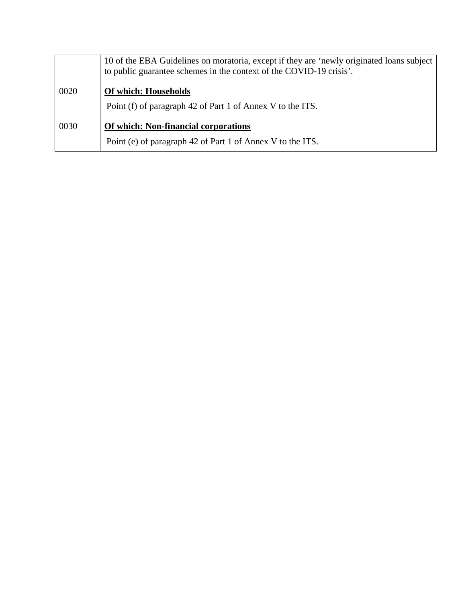|      | 10 of the EBA Guidelines on moratoria, except if they are 'newly originated loans subject<br>to public guarantee schemes in the context of the COVID-19 crisis'. |
|------|------------------------------------------------------------------------------------------------------------------------------------------------------------------|
| 0020 | Of which: Households                                                                                                                                             |
|      | Point (f) of paragraph 42 of Part 1 of Annex V to the ITS.                                                                                                       |
| 0030 | <b>Of which: Non-financial corporations</b>                                                                                                                      |
|      | Point (e) of paragraph 42 of Part 1 of Annex V to the ITS.                                                                                                       |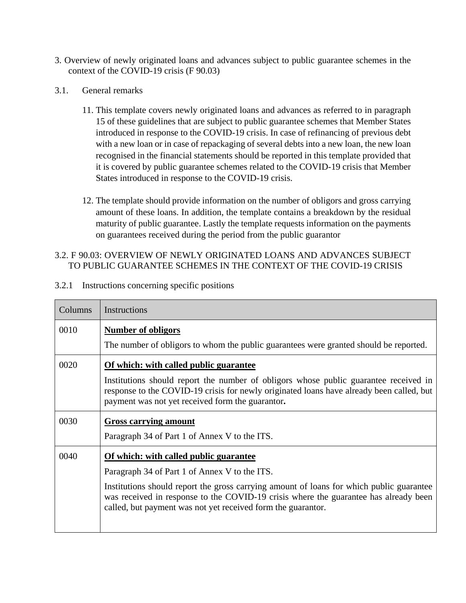- 3. Overview of newly originated loans and advances subject to public guarantee schemes in the context of the COVID-19 crisis (F 90.03)
- 3.1. General remarks
	- 11. This template covers newly originated loans and advances as referred to in paragraph 15 of these guidelines that are subject to public guarantee schemes that Member States introduced in response to the COVID-19 crisis. In case of refinancing of previous debt with a new loan or in case of repackaging of several debts into a new loan, the new loan recognised in the financial statements should be reported in this template provided that it is covered by public guarantee schemes related to the COVID-19 crisis that Member States introduced in response to the COVID-19 crisis.
	- 12. The template should provide information on the number of obligors and gross carrying amount of these loans. In addition, the template contains a breakdown by the residual maturity of public guarantee. Lastly the template requests information on the payments on guarantees received during the period from the public guarantor

## 3.2. F 90.03: OVERVIEW OF NEWLY ORIGINATED LOANS AND ADVANCES SUBJECT TO PUBLIC GUARANTEE SCHEMES IN THE CONTEXT OF THE COVID-19 CRISIS

| Columns | Instructions                                                                                                                                                                                                                                     |  |
|---------|--------------------------------------------------------------------------------------------------------------------------------------------------------------------------------------------------------------------------------------------------|--|
| 0010    | <b>Number of obligors</b>                                                                                                                                                                                                                        |  |
|         | The number of obligors to whom the public guarantees were granted should be reported.                                                                                                                                                            |  |
| 0020    | Of which: with called public guarantee                                                                                                                                                                                                           |  |
|         | Institutions should report the number of obligors whose public guarantee received in<br>response to the COVID-19 crisis for newly originated loans have already been called, but<br>payment was not yet received form the guarantor.             |  |
| 0030    | <b>Gross carrying amount</b>                                                                                                                                                                                                                     |  |
|         | Paragraph 34 of Part 1 of Annex V to the ITS.                                                                                                                                                                                                    |  |
| 0040    | Of which: with called public guarantee                                                                                                                                                                                                           |  |
|         | Paragraph 34 of Part 1 of Annex V to the ITS.                                                                                                                                                                                                    |  |
|         | Institutions should report the gross carrying amount of loans for which public guarantee<br>was received in response to the COVID-19 crisis where the guarantee has already been<br>called, but payment was not yet received form the guarantor. |  |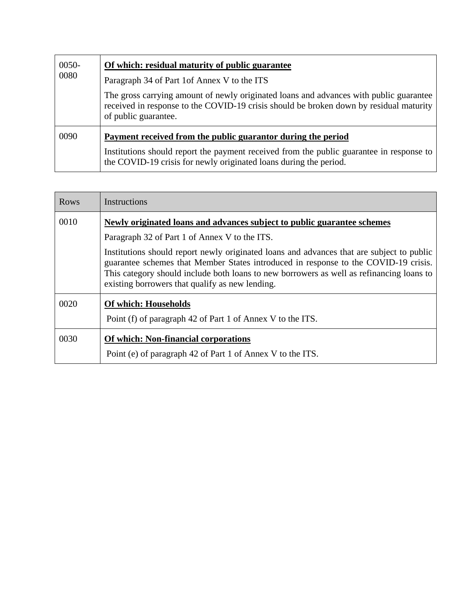| $0050 -$<br>0080 | Of which: residual maturity of public guarantee                                                                                                                                                          |  |
|------------------|----------------------------------------------------------------------------------------------------------------------------------------------------------------------------------------------------------|--|
|                  | Paragraph 34 of Part 1 of Annex V to the ITS                                                                                                                                                             |  |
|                  | The gross carrying amount of newly originated loans and advances with public guarantee<br>received in response to the COVID-19 crisis should be broken down by residual maturity<br>of public guarantee. |  |
| 0090             | Payment received from the public guarantor during the period                                                                                                                                             |  |
|                  | Institutions should report the payment received from the public guarantee in response to<br>the COVID-19 crisis for newly originated loans during the period.                                            |  |

| <b>Rows</b> | Instructions                                                                                                                                                                                                                                                                                                                    |  |
|-------------|---------------------------------------------------------------------------------------------------------------------------------------------------------------------------------------------------------------------------------------------------------------------------------------------------------------------------------|--|
| 0010        | Newly originated loans and advances subject to public guarantee schemes                                                                                                                                                                                                                                                         |  |
|             | Paragraph 32 of Part 1 of Annex V to the ITS.                                                                                                                                                                                                                                                                                   |  |
|             | Institutions should report newly originated loans and advances that are subject to public<br>guarantee schemes that Member States introduced in response to the COVID-19 crisis.<br>This category should include both loans to new borrowers as well as refinancing loans to<br>existing borrowers that qualify as new lending. |  |
| 0020        | <b>Of which: Households</b>                                                                                                                                                                                                                                                                                                     |  |
|             | Point (f) of paragraph 42 of Part 1 of Annex V to the ITS.                                                                                                                                                                                                                                                                      |  |
| 0030        | <b>Of which: Non-financial corporations</b>                                                                                                                                                                                                                                                                                     |  |
|             | Point (e) of paragraph 42 of Part 1 of Annex V to the ITS.                                                                                                                                                                                                                                                                      |  |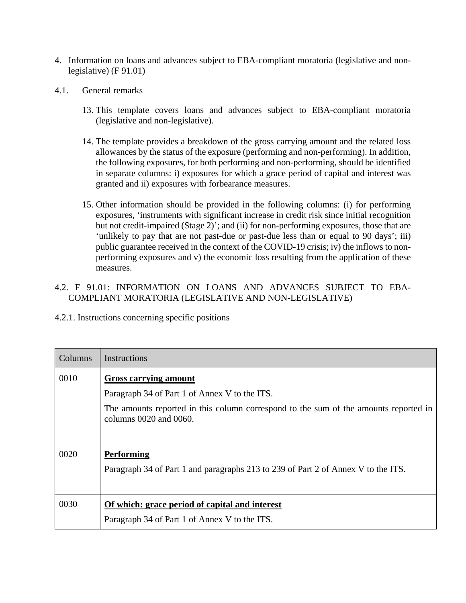- 4. Information on loans and advances subject to EBA-compliant moratoria (legislative and nonlegislative) (F 91.01)
- 4.1. General remarks
	- 13. This template covers loans and advances subject to EBA-compliant moratoria (legislative and non-legislative).
	- 14. The template provides a breakdown of the gross carrying amount and the related loss allowances by the status of the exposure (performing and non-performing). In addition, the following exposures, for both performing and non-performing, should be identified in separate columns: i) exposures for which a grace period of capital and interest was granted and ii) exposures with forbearance measures.
	- 15. Other information should be provided in the following columns: (i) for performing exposures, 'instruments with significant increase in credit risk since initial recognition but not credit-impaired (Stage 2)'; and (ii) for non-performing exposures, those that are 'unlikely to pay that are not past-due or past-due less than or equal to 90 days'; iii) public guarantee received in the context of the COVID-19 crisis; iv) the inflows to nonperforming exposures and v) the economic loss resulting from the application of these measures.

# 4.2. F 91.01: INFORMATION ON LOANS AND ADVANCES SUBJECT TO EBA-COMPLIANT MORATORIA (LEGISLATIVE AND NON-LEGISLATIVE)

| Columns | Instructions                                                                                                        |
|---------|---------------------------------------------------------------------------------------------------------------------|
| 0010    | <b>Gross carrying amount</b>                                                                                        |
|         | Paragraph 34 of Part 1 of Annex V to the ITS.                                                                       |
|         | The amounts reported in this column correspond to the sum of the amounts reported in<br>columns $0020$ and $0060$ . |
|         |                                                                                                                     |
| 0020    | <b>Performing</b>                                                                                                   |
|         | Paragraph 34 of Part 1 and paragraphs 213 to 239 of Part 2 of Annex V to the ITS.                                   |
|         |                                                                                                                     |
| 0030    | Of which: grace period of capital and interest                                                                      |
|         | Paragraph 34 of Part 1 of Annex V to the ITS.                                                                       |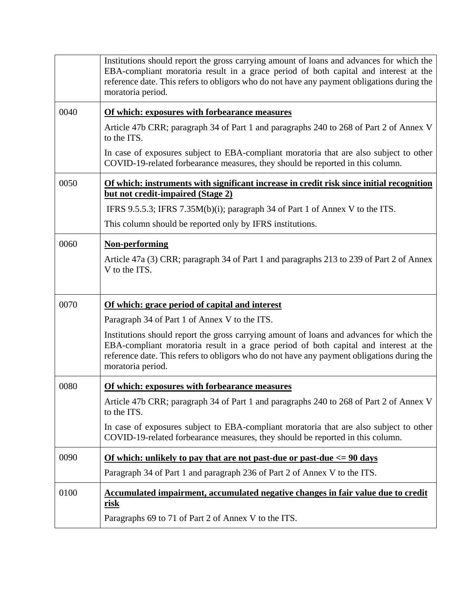|      | Institutions should report the gross carrying amount of loans and advances for which the<br>EBA-compliant moratoria result in a grace period of both capital and interest at the<br>reference date. This refers to obligors who do not have any payment obligations during the<br>moratoria period. |
|------|-----------------------------------------------------------------------------------------------------------------------------------------------------------------------------------------------------------------------------------------------------------------------------------------------------|
| 0040 | Of which: exposures with forbearance measures                                                                                                                                                                                                                                                       |
|      | Article 47b CRR; paragraph 34 of Part 1 and paragraphs 240 to 268 of Part 2 of Annex V<br>to the ITS.                                                                                                                                                                                               |
|      | In case of exposures subject to EBA-compliant moratoria that are also subject to other<br>COVID-19-related forbearance measures, they should be reported in this column.                                                                                                                            |
| 0050 | Of which: instruments with significant increase in credit risk since initial recognition<br>but not credit-impaired (Stage 2)                                                                                                                                                                       |
|      | IFRS 9.5.5.3; IFRS 7.35 $M(b)(i)$ ; paragraph 34 of Part 1 of Annex V to the ITS.                                                                                                                                                                                                                   |
|      | This column should be reported only by IFRS institutions.                                                                                                                                                                                                                                           |
| 0060 | <b>Non-performing</b>                                                                                                                                                                                                                                                                               |
|      | Article 47a (3) CRR; paragraph 34 of Part 1 and paragraphs 213 to 239 of Part 2 of Annex<br>V to the ITS.                                                                                                                                                                                           |
| 0070 | Of which: grace period of capital and interest                                                                                                                                                                                                                                                      |
|      | Paragraph 34 of Part 1 of Annex V to the ITS.                                                                                                                                                                                                                                                       |
|      | Institutions should report the gross carrying amount of loans and advances for which the<br>EBA-compliant moratoria result in a grace period of both capital and interest at the<br>reference date. This refers to obligors who do not have any payment obligations during the<br>moratoria period. |
| 0080 | Of which: exposures with forbearance measures                                                                                                                                                                                                                                                       |
|      | Article 47b CRR; paragraph 34 of Part 1 and paragraphs 240 to 268 of Part 2 of Annex V<br>to the ITS.                                                                                                                                                                                               |
|      | In case of exposures subject to EBA-compliant moratoria that are also subject to other<br>COVID-19-related forbearance measures, they should be reported in this column.                                                                                                                            |
| 0090 | Of which: unlikely to pay that are not past-due or past-due $\epsilon$ = 90 days                                                                                                                                                                                                                    |
|      | Paragraph 34 of Part 1 and paragraph 236 of Part 2 of Annex V to the ITS.                                                                                                                                                                                                                           |
| 0100 | Accumulated impairment, accumulated negative changes in fair value due to credit<br><u>risk</u>                                                                                                                                                                                                     |
|      | Paragraphs 69 to 71 of Part 2 of Annex V to the ITS.                                                                                                                                                                                                                                                |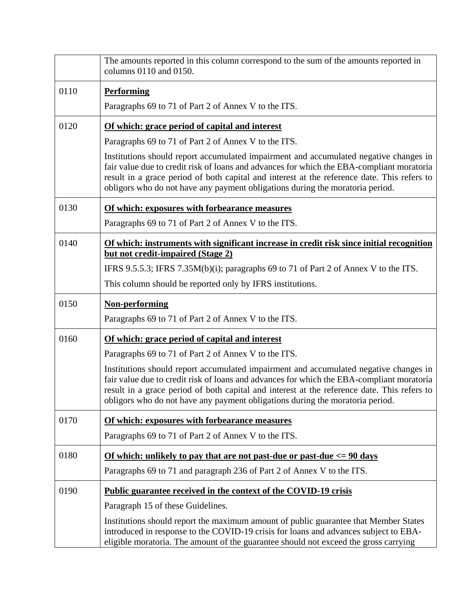|      | The amounts reported in this column correspond to the sum of the amounts reported in<br>columns 0110 and 0150.                                                                                                                                                                                                                                                     |
|------|--------------------------------------------------------------------------------------------------------------------------------------------------------------------------------------------------------------------------------------------------------------------------------------------------------------------------------------------------------------------|
| 0110 | <b>Performing</b>                                                                                                                                                                                                                                                                                                                                                  |
|      | Paragraphs 69 to 71 of Part 2 of Annex V to the ITS.                                                                                                                                                                                                                                                                                                               |
| 0120 | Of which: grace period of capital and interest                                                                                                                                                                                                                                                                                                                     |
|      | Paragraphs 69 to 71 of Part 2 of Annex V to the ITS.                                                                                                                                                                                                                                                                                                               |
|      | Institutions should report accumulated impairment and accumulated negative changes in<br>fair value due to credit risk of loans and advances for which the EBA-compliant moratoria<br>result in a grace period of both capital and interest at the reference date. This refers to<br>obligors who do not have any payment obligations during the moratoria period. |
| 0130 | Of which: exposures with forbearance measures                                                                                                                                                                                                                                                                                                                      |
|      | Paragraphs 69 to 71 of Part 2 of Annex V to the ITS.                                                                                                                                                                                                                                                                                                               |
| 0140 | Of which: instruments with significant increase in credit risk since initial recognition<br><u>but not credit-impaired (Stage 2)</u>                                                                                                                                                                                                                               |
|      | IFRS 9.5.5.3; IFRS 7.35M(b)(i); paragraphs 69 to 71 of Part 2 of Annex V to the ITS.                                                                                                                                                                                                                                                                               |
|      | This column should be reported only by IFRS institutions.                                                                                                                                                                                                                                                                                                          |
| 0150 | <b>Non-performing</b>                                                                                                                                                                                                                                                                                                                                              |
|      | Paragraphs 69 to 71 of Part 2 of Annex V to the ITS.                                                                                                                                                                                                                                                                                                               |
| 0160 | Of which: grace period of capital and interest                                                                                                                                                                                                                                                                                                                     |
|      | Paragraphs 69 to 71 of Part 2 of Annex V to the ITS.                                                                                                                                                                                                                                                                                                               |
|      | Institutions should report accumulated impairment and accumulated negative changes in<br>fair value due to credit risk of loans and advances for which the EBA-compliant moratoria<br>result in a grace period of both capital and interest at the reference date. This refers to<br>obligors who do not have any payment obligations during the moratoria period. |
| 0170 | Of which: exposures with forbearance measures                                                                                                                                                                                                                                                                                                                      |
|      | Paragraphs 69 to 71 of Part 2 of Annex V to the ITS.                                                                                                                                                                                                                                                                                                               |
| 0180 | <u>Of which: unlikely to pay that are not past-due or past-due <math>\epsilon</math> = 90 days</u>                                                                                                                                                                                                                                                                 |
|      | Paragraphs 69 to 71 and paragraph 236 of Part 2 of Annex V to the ITS.                                                                                                                                                                                                                                                                                             |
| 0190 | Public guarantee received in the context of the COVID-19 crisis                                                                                                                                                                                                                                                                                                    |
|      | Paragraph 15 of these Guidelines.                                                                                                                                                                                                                                                                                                                                  |
|      | Institutions should report the maximum amount of public guarantee that Member States<br>introduced in response to the COVID-19 crisis for loans and advances subject to EBA-<br>eligible moratoria. The amount of the guarantee should not exceed the gross carrying                                                                                               |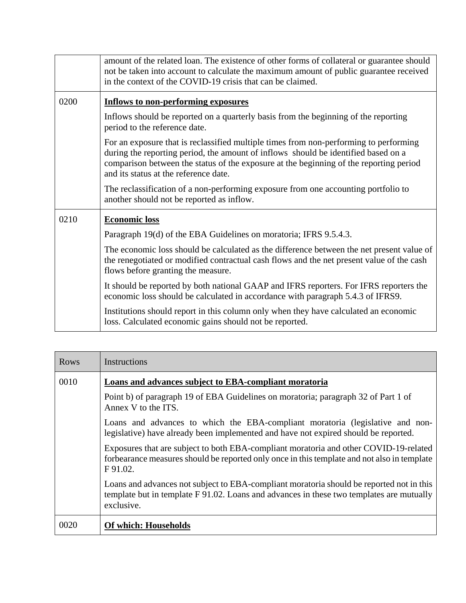|      | amount of the related loan. The existence of other forms of collateral or guarantee should<br>not be taken into account to calculate the maximum amount of public guarantee received<br>in the context of the COVID-19 crisis that can be claimed.                                                             |
|------|----------------------------------------------------------------------------------------------------------------------------------------------------------------------------------------------------------------------------------------------------------------------------------------------------------------|
| 0200 | <b>Inflows to non-performing exposures</b>                                                                                                                                                                                                                                                                     |
|      | Inflows should be reported on a quarterly basis from the beginning of the reporting<br>period to the reference date.                                                                                                                                                                                           |
|      | For an exposure that is reclassified multiple times from non-performing to performing<br>during the reporting period, the amount of inflows should be identified based on a<br>comparison between the status of the exposure at the beginning of the reporting period<br>and its status at the reference date. |
|      | The reclassification of a non-performing exposure from one accounting portfolio to<br>another should not be reported as inflow.                                                                                                                                                                                |
| 0210 | <b>Economic loss</b>                                                                                                                                                                                                                                                                                           |
|      | Paragraph 19(d) of the EBA Guidelines on moratoria; IFRS 9.5.4.3.                                                                                                                                                                                                                                              |
|      | The economic loss should be calculated as the difference between the net present value of<br>the renegotiated or modified contractual cash flows and the net present value of the cash<br>flows before granting the measure.                                                                                   |
|      | It should be reported by both national GAAP and IFRS reporters. For IFRS reporters the<br>economic loss should be calculated in accordance with paragraph 5.4.3 of IFRS9.                                                                                                                                      |
|      | Institutions should report in this column only when they have calculated an economic<br>loss. Calculated economic gains should not be reported.                                                                                                                                                                |

| <b>Rows</b> | Instructions                                                                                                                                                                                       |
|-------------|----------------------------------------------------------------------------------------------------------------------------------------------------------------------------------------------------|
| 0010        | Loans and advances subject to EBA-compliant moratoria                                                                                                                                              |
|             | Point b) of paragraph 19 of EBA Guidelines on moratoria; paragraph 32 of Part 1 of<br>Annex V to the ITS.                                                                                          |
|             | Loans and advances to which the EBA-compliant moratoria (legislative and non-<br>legislative) have already been implemented and have not expired should be reported.                               |
|             | Exposures that are subject to both EBA-compliant moratoria and other COVID-19-related<br>forbearance measures should be reported only once in this template and not also in template<br>F 91.02.   |
|             | Loans and advances not subject to EBA-compliant moratoria should be reported not in this<br>template but in template F 91.02. Loans and advances in these two templates are mutually<br>exclusive. |
| 0020        | <b>Of which: Households</b>                                                                                                                                                                        |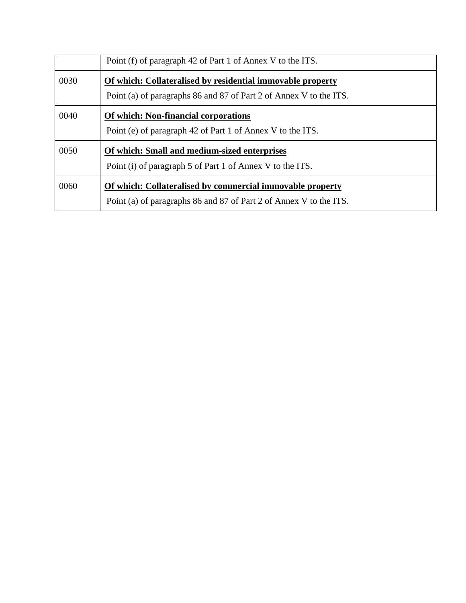|      | Point (f) of paragraph 42 of Part 1 of Annex V to the ITS.                                                                       |
|------|----------------------------------------------------------------------------------------------------------------------------------|
| 0030 | Of which: Collateralised by residential immovable property<br>Point (a) of paragraphs 86 and 87 of Part 2 of Annex V to the ITS. |
| 0040 | <b>Of which: Non-financial corporations</b><br>Point (e) of paragraph 42 of Part 1 of Annex V to the ITS.                        |
| 0050 | Of which: Small and medium-sized enterprises<br>Point (i) of paragraph 5 of Part 1 of Annex V to the ITS.                        |
| 0060 | Of which: Collateralised by commercial immovable property<br>Point (a) of paragraphs 86 and 87 of Part 2 of Annex V to the ITS.  |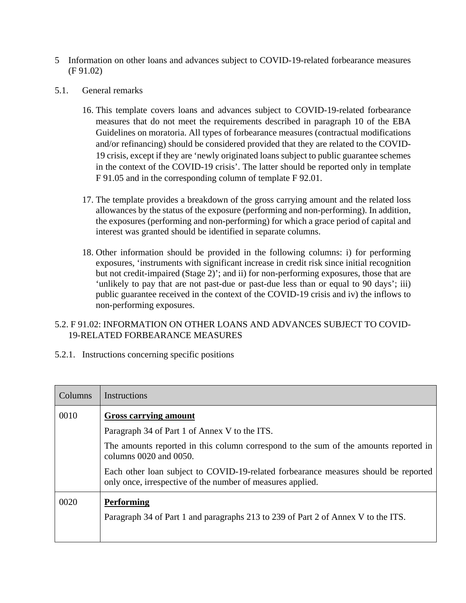- 5 Information on other loans and advances subject to COVID-19-related forbearance measures (F 91.02)
- 5.1. General remarks
	- 16. This template covers loans and advances subject to COVID-19-related forbearance measures that do not meet the requirements described in paragraph 10 of the EBA Guidelines on moratoria. All types of forbearance measures (contractual modifications and/or refinancing) should be considered provided that they are related to the COVID-19 crisis, except if they are 'newly originated loans subject to public guarantee schemes in the context of the COVID-19 crisis'. The latter should be reported only in template F 91.05 and in the corresponding column of template F 92.01.
	- 17. The template provides a breakdown of the gross carrying amount and the related loss allowances by the status of the exposure (performing and non-performing). In addition, the exposures (performing and non-performing) for which a grace period of capital and interest was granted should be identified in separate columns.
	- 18. Other information should be provided in the following columns: i) for performing exposures, 'instruments with significant increase in credit risk since initial recognition but not credit-impaired (Stage 2)'; and ii) for non-performing exposures, those that are 'unlikely to pay that are not past-due or past-due less than or equal to 90 days'; iii) public guarantee received in the context of the COVID-19 crisis and iv) the inflows to non-performing exposures.

### 5.2. F 91.02: INFORMATION ON OTHER LOANS AND ADVANCES SUBJECT TO COVID-19-RELATED FORBEARANCE MEASURES

| Columns | Instructions                                                                                                                                      |
|---------|---------------------------------------------------------------------------------------------------------------------------------------------------|
| 0010    | <b>Gross carrying amount</b>                                                                                                                      |
|         | Paragraph 34 of Part 1 of Annex V to the ITS.                                                                                                     |
|         | The amounts reported in this column correspond to the sum of the amounts reported in<br>columns $0020$ and $0050$ .                               |
|         | Each other loan subject to COVID-19-related forbearance measures should be reported<br>only once, irrespective of the number of measures applied. |
| 0020    | <b>Performing</b>                                                                                                                                 |
|         | Paragraph 34 of Part 1 and paragraphs 213 to 239 of Part 2 of Annex V to the ITS.                                                                 |
|         |                                                                                                                                                   |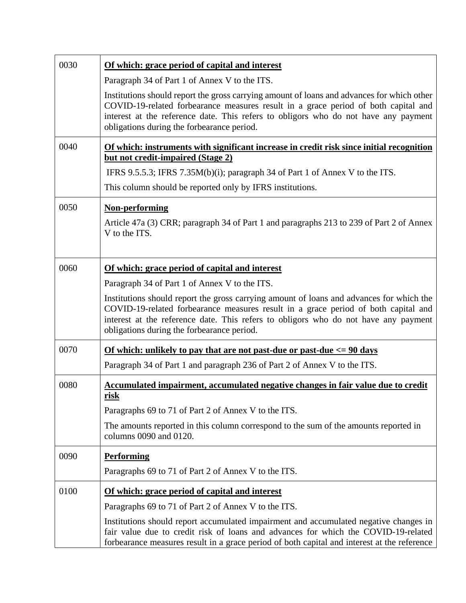| 0030 | Of which: grace period of capital and interest<br>Paragraph 34 of Part 1 of Annex V to the ITS.                                                                                                                                                                                                                       |
|------|-----------------------------------------------------------------------------------------------------------------------------------------------------------------------------------------------------------------------------------------------------------------------------------------------------------------------|
|      | Institutions should report the gross carrying amount of loans and advances for which other<br>COVID-19-related forbearance measures result in a grace period of both capital and<br>interest at the reference date. This refers to obligors who do not have any payment<br>obligations during the forbearance period. |
| 0040 | Of which: instruments with significant increase in credit risk since initial recognition<br>but not credit-impaired (Stage 2)                                                                                                                                                                                         |
|      | IFRS 9.5.5.3; IFRS 7.35M(b)(i); paragraph 34 of Part 1 of Annex V to the ITS.                                                                                                                                                                                                                                         |
|      | This column should be reported only by IFRS institutions.                                                                                                                                                                                                                                                             |
| 0050 | <b>Non-performing</b><br>Article 47a (3) CRR; paragraph 34 of Part 1 and paragraphs 213 to 239 of Part 2 of Annex<br>V to the ITS.                                                                                                                                                                                    |
| 0060 | Of which: grace period of capital and interest                                                                                                                                                                                                                                                                        |
|      | Paragraph 34 of Part 1 of Annex V to the ITS.                                                                                                                                                                                                                                                                         |
|      | Institutions should report the gross carrying amount of loans and advances for which the<br>COVID-19-related forbearance measures result in a grace period of both capital and<br>interest at the reference date. This refers to obligors who do not have any payment<br>obligations during the forbearance period.   |
| 0070 | Of which: unlikely to pay that are not past-due or past-due $\epsilon$ = 90 days                                                                                                                                                                                                                                      |
|      | Paragraph 34 of Part 1 and paragraph 236 of Part 2 of Annex V to the ITS.                                                                                                                                                                                                                                             |
| 0080 | Accumulated impairment, accumulated negative changes in fair value due to credit<br><u>risk</u>                                                                                                                                                                                                                       |
|      | Paragraphs 69 to 71 of Part 2 of Annex V to the ITS.                                                                                                                                                                                                                                                                  |
|      | The amounts reported in this column correspond to the sum of the amounts reported in<br>columns 0090 and 0120.                                                                                                                                                                                                        |
| 0090 | <b>Performing</b>                                                                                                                                                                                                                                                                                                     |
|      | Paragraphs 69 to 71 of Part 2 of Annex V to the ITS.                                                                                                                                                                                                                                                                  |
| 0100 | Of which: grace period of capital and interest                                                                                                                                                                                                                                                                        |
|      | Paragraphs 69 to 71 of Part 2 of Annex V to the ITS.                                                                                                                                                                                                                                                                  |
|      | Institutions should report accumulated impairment and accumulated negative changes in<br>fair value due to credit risk of loans and advances for which the COVID-19-related<br>forbearance measures result in a grace period of both capital and interest at the reference                                            |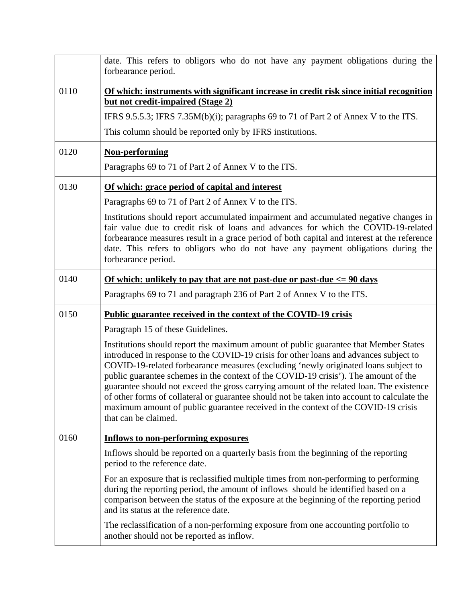|      | date. This refers to obligors who do not have any payment obligations during the<br>forbearance period.                                                                                                                                                                                                                                                                                                                                                                                                                                                                                                                                                                                                                                                                            |
|------|------------------------------------------------------------------------------------------------------------------------------------------------------------------------------------------------------------------------------------------------------------------------------------------------------------------------------------------------------------------------------------------------------------------------------------------------------------------------------------------------------------------------------------------------------------------------------------------------------------------------------------------------------------------------------------------------------------------------------------------------------------------------------------|
| 0110 | Of which: instruments with significant increase in credit risk since initial recognition<br>but not credit-impaired (Stage 2)<br>IFRS 9.5.5.3; IFRS 7.35M(b)(i); paragraphs 69 to 71 of Part 2 of Annex V to the ITS.<br>This column should be reported only by IFRS institutions.                                                                                                                                                                                                                                                                                                                                                                                                                                                                                                 |
| 0120 | <b>Non-performing</b><br>Paragraphs 69 to 71 of Part 2 of Annex V to the ITS.                                                                                                                                                                                                                                                                                                                                                                                                                                                                                                                                                                                                                                                                                                      |
| 0130 | Of which: grace period of capital and interest<br>Paragraphs 69 to 71 of Part 2 of Annex V to the ITS.<br>Institutions should report accumulated impairment and accumulated negative changes in<br>fair value due to credit risk of loans and advances for which the COVID-19-related<br>forbearance measures result in a grace period of both capital and interest at the reference<br>date. This refers to obligors who do not have any payment obligations during the<br>forbearance period.                                                                                                                                                                                                                                                                                    |
| 0140 | Of which: unlikely to pay that are not past-due or past-due $\epsilon$ = 90 days<br>Paragraphs 69 to 71 and paragraph 236 of Part 2 of Annex V to the ITS.                                                                                                                                                                                                                                                                                                                                                                                                                                                                                                                                                                                                                         |
| 0150 | <b>Public guarantee received in the context of the COVID-19 crisis</b><br>Paragraph 15 of these Guidelines.<br>Institutions should report the maximum amount of public guarantee that Member States<br>introduced in response to the COVID-19 crisis for other loans and advances subject to<br>COVID-19-related forbearance measures (excluding 'newly originated loans subject to<br>public guarantee schemes in the context of the COVID-19 crisis'). The amount of the<br>guarantee should not exceed the gross carrying amount of the related loan. The existence<br>of other forms of collateral or guarantee should not be taken into account to calculate the<br>maximum amount of public guarantee received in the context of the COVID-19 crisis<br>that can be claimed. |
| 0160 | <b>Inflows to non-performing exposures</b><br>Inflows should be reported on a quarterly basis from the beginning of the reporting<br>period to the reference date.<br>For an exposure that is reclassified multiple times from non-performing to performing<br>during the reporting period, the amount of inflows should be identified based on a<br>comparison between the status of the exposure at the beginning of the reporting period<br>and its status at the reference date.<br>The reclassification of a non-performing exposure from one accounting portfolio to<br>another should not be reported as inflow.                                                                                                                                                            |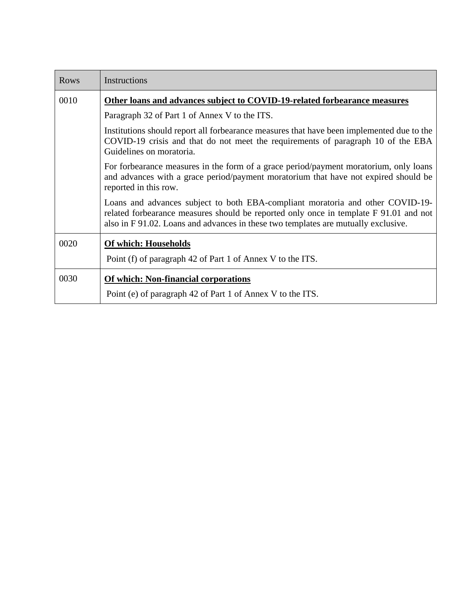| Rows | Instructions                                                                                                                                                                                                                                                  |
|------|---------------------------------------------------------------------------------------------------------------------------------------------------------------------------------------------------------------------------------------------------------------|
| 0010 | Other loans and advances subject to COVID-19-related forbearance measures                                                                                                                                                                                     |
|      | Paragraph 32 of Part 1 of Annex V to the ITS.                                                                                                                                                                                                                 |
|      | Institutions should report all forbearance measures that have been implemented due to the<br>COVID-19 crisis and that do not meet the requirements of paragraph 10 of the EBA<br>Guidelines on moratoria.                                                     |
|      | For forbearance measures in the form of a grace period/payment moratorium, only loans<br>and advances with a grace period/payment moratorium that have not expired should be<br>reported in this row.                                                         |
|      | Loans and advances subject to both EBA-compliant moratoria and other COVID-19-<br>related forbearance measures should be reported only once in template F 91.01 and not<br>also in F 91.02. Loans and advances in these two templates are mutually exclusive. |
| 0020 | <b>Of which: Households</b>                                                                                                                                                                                                                                   |
|      | Point (f) of paragraph 42 of Part 1 of Annex V to the ITS.                                                                                                                                                                                                    |
| 0030 | Of which: Non-financial corporations<br>Point (e) of paragraph 42 of Part 1 of Annex V to the ITS.                                                                                                                                                            |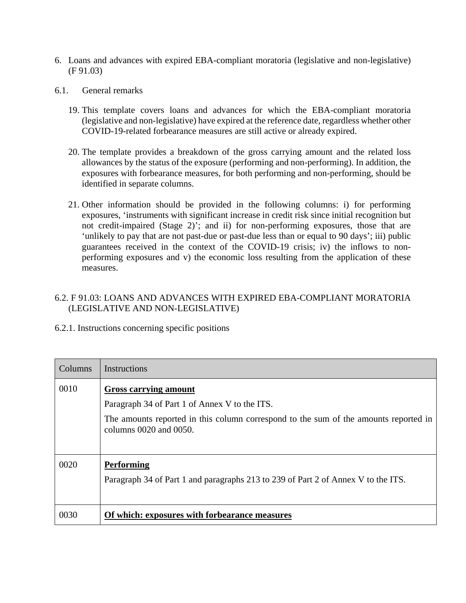- 6. Loans and advances with expired EBA-compliant moratoria (legislative and non-legislative) (F 91.03)
- 6.1. General remarks
	- 19. This template covers loans and advances for which the EBA-compliant moratoria (legislative and non-legislative) have expired at the reference date, regardless whether other COVID-19-related forbearance measures are still active or already expired.
	- 20. The template provides a breakdown of the gross carrying amount and the related loss allowances by the status of the exposure (performing and non-performing). In addition, the exposures with forbearance measures, for both performing and non-performing, should be identified in separate columns.
	- 21. Other information should be provided in the following columns: i) for performing exposures, 'instruments with significant increase in credit risk since initial recognition but not credit-impaired (Stage 2)'; and ii) for non-performing exposures, those that are 'unlikely to pay that are not past-due or past-due less than or equal to 90 days'; iii) public guarantees received in the context of the COVID-19 crisis; iv) the inflows to nonperforming exposures and v) the economic loss resulting from the application of these measures.

## 6.2. F 91.03: LOANS AND ADVANCES WITH EXPIRED EBA-COMPLIANT MORATORIA (LEGISLATIVE AND NON-LEGISLATIVE)

| Columns | Instructions                                                                                                   |
|---------|----------------------------------------------------------------------------------------------------------------|
| 0010    | <b>Gross carrying amount</b><br>Paragraph 34 of Part 1 of Annex V to the ITS.                                  |
|         | The amounts reported in this column correspond to the sum of the amounts reported in<br>columns 0020 and 0050. |
| 0020    | <b>Performing</b><br>Paragraph 34 of Part 1 and paragraphs 213 to 239 of Part 2 of Annex V to the ITS.         |
| 0030    | Of which: exposures with forbearance measures                                                                  |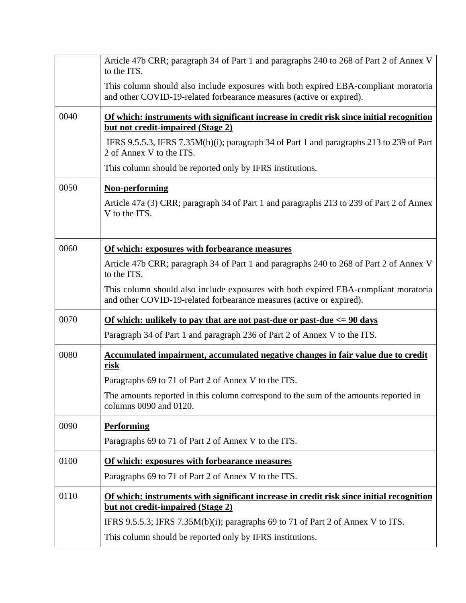|      | Article 47b CRR; paragraph 34 of Part 1 and paragraphs 240 to 268 of Part 2 of Annex V<br>to the ITS.                                                       |
|------|-------------------------------------------------------------------------------------------------------------------------------------------------------------|
|      | This column should also include exposures with both expired EBA-compliant moratoria<br>and other COVID-19-related forbearance measures (active or expired). |
| 0040 | Of which: instruments with significant increase in credit risk since initial recognition                                                                    |
|      | but not credit-impaired (Stage 2)                                                                                                                           |
|      | IFRS 9.5.5.3, IFRS 7.35M(b)(i); paragraph 34 of Part 1 and paragraphs 213 to 239 of Part<br>2 of Annex V to the ITS.                                        |
|      | This column should be reported only by IFRS institutions.                                                                                                   |
| 0050 | <b>Non-performing</b>                                                                                                                                       |
|      | Article 47a (3) CRR; paragraph 34 of Part 1 and paragraphs 213 to 239 of Part 2 of Annex<br>V to the ITS.                                                   |
| 0060 | Of which: exposures with forbearance measures                                                                                                               |
|      | Article 47b CRR; paragraph 34 of Part 1 and paragraphs 240 to 268 of Part 2 of Annex V<br>to the ITS.                                                       |
|      | This column should also include exposures with both expired EBA-compliant moratoria<br>and other COVID-19-related forbearance measures (active or expired). |
| 0070 | <u>Of which: unlikely to pay that are not past-due or past-due <math>\epsilon</math> = 90 days</u>                                                          |
|      | Paragraph 34 of Part 1 and paragraph 236 of Part 2 of Annex V to the ITS.                                                                                   |
| 0080 | Accumulated impairment, accumulated negative changes in fair value due to credit<br>risk                                                                    |
|      | Paragraphs 69 to 71 of Part 2 of Annex V to the ITS.                                                                                                        |
|      | The amounts reported in this column correspond to the sum of the amounts reported in<br>columns 0090 and 0120.                                              |
| 0090 | <b>Performing</b>                                                                                                                                           |
|      | Paragraphs 69 to 71 of Part 2 of Annex V to the ITS.                                                                                                        |
| 0100 | Of which: exposures with forbearance measures                                                                                                               |
|      | Paragraphs 69 to 71 of Part 2 of Annex V to the ITS.                                                                                                        |
| 0110 | Of which: instruments with significant increase in credit risk since initial recognition<br>but not credit-impaired (Stage 2)                               |
|      | IFRS 9.5.5.3; IFRS 7.35M(b)(i); paragraphs 69 to 71 of Part 2 of Annex V to ITS.                                                                            |
|      | This column should be reported only by IFRS institutions.                                                                                                   |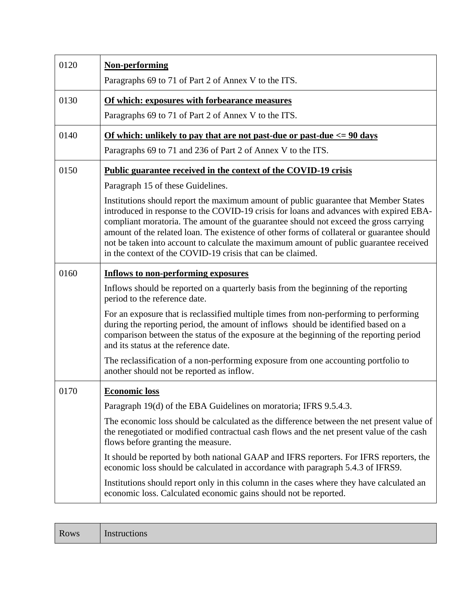| 0120 | <b>Non-performing</b><br>Paragraphs 69 to 71 of Part 2 of Annex V to the ITS.                                                                                                                                                                                                                                                                                                                                                                                                                                                 |
|------|-------------------------------------------------------------------------------------------------------------------------------------------------------------------------------------------------------------------------------------------------------------------------------------------------------------------------------------------------------------------------------------------------------------------------------------------------------------------------------------------------------------------------------|
| 0130 | Of which: exposures with forbearance measures                                                                                                                                                                                                                                                                                                                                                                                                                                                                                 |
|      | Paragraphs 69 to 71 of Part 2 of Annex V to the ITS.                                                                                                                                                                                                                                                                                                                                                                                                                                                                          |
| 0140 | Of which: unlikely to pay that are not past-due or past-due $\langle 90 \text{ days} \rangle$                                                                                                                                                                                                                                                                                                                                                                                                                                 |
|      | Paragraphs 69 to 71 and 236 of Part 2 of Annex V to the ITS.                                                                                                                                                                                                                                                                                                                                                                                                                                                                  |
| 0150 | Public guarantee received in the context of the COVID-19 crisis                                                                                                                                                                                                                                                                                                                                                                                                                                                               |
|      | Paragraph 15 of these Guidelines.                                                                                                                                                                                                                                                                                                                                                                                                                                                                                             |
|      | Institutions should report the maximum amount of public guarantee that Member States<br>introduced in response to the COVID-19 crisis for loans and advances with expired EBA-<br>compliant moratoria. The amount of the guarantee should not exceed the gross carrying<br>amount of the related loan. The existence of other forms of collateral or guarantee should<br>not be taken into account to calculate the maximum amount of public guarantee received<br>in the context of the COVID-19 crisis that can be claimed. |
| 0160 | <b>Inflows to non-performing exposures</b>                                                                                                                                                                                                                                                                                                                                                                                                                                                                                    |
|      | Inflows should be reported on a quarterly basis from the beginning of the reporting<br>period to the reference date.                                                                                                                                                                                                                                                                                                                                                                                                          |
|      | For an exposure that is reclassified multiple times from non-performing to performing<br>during the reporting period, the amount of inflows should be identified based on a<br>comparison between the status of the exposure at the beginning of the reporting period<br>and its status at the reference date.                                                                                                                                                                                                                |
|      | The reclassification of a non-performing exposure from one accounting portfolio to<br>another should not be reported as inflow.                                                                                                                                                                                                                                                                                                                                                                                               |
| 0170 | <b>Economic loss</b>                                                                                                                                                                                                                                                                                                                                                                                                                                                                                                          |
|      | Paragraph 19(d) of the EBA Guidelines on moratoria; IFRS 9.5.4.3.                                                                                                                                                                                                                                                                                                                                                                                                                                                             |
|      | The economic loss should be calculated as the difference between the net present value of<br>the renegotiated or modified contractual cash flows and the net present value of the cash<br>flows before granting the measure.                                                                                                                                                                                                                                                                                                  |
|      | It should be reported by both national GAAP and IFRS reporters. For IFRS reporters, the<br>economic loss should be calculated in accordance with paragraph 5.4.3 of IFRS9.                                                                                                                                                                                                                                                                                                                                                    |
|      | Institutions should report only in this column in the cases where they have calculated an<br>economic loss. Calculated economic gains should not be reported.                                                                                                                                                                                                                                                                                                                                                                 |

| Rows | Instructions |
|------|--------------|
|------|--------------|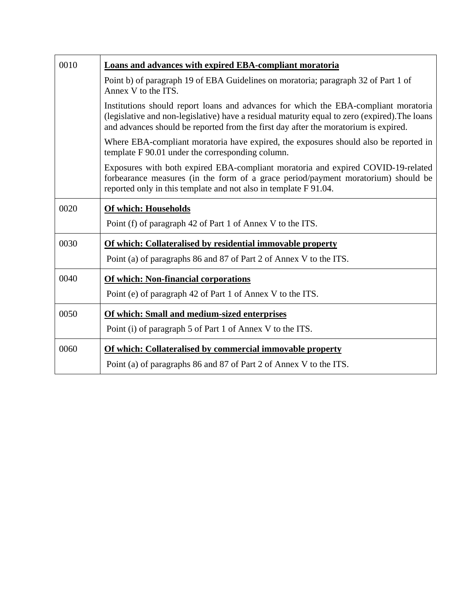| 0010 | <b>Loans and advances with expired EBA-compliant moratoria</b>                                                                                                                                                                                                              |
|------|-----------------------------------------------------------------------------------------------------------------------------------------------------------------------------------------------------------------------------------------------------------------------------|
|      | Point b) of paragraph 19 of EBA Guidelines on moratoria; paragraph 32 of Part 1 of<br>Annex V to the ITS.                                                                                                                                                                   |
|      | Institutions should report loans and advances for which the EBA-compliant moratoria<br>(legislative and non-legislative) have a residual maturity equal to zero (expired). The loans<br>and advances should be reported from the first day after the moratorium is expired. |
|      | Where EBA-compliant moratoria have expired, the exposures should also be reported in<br>template F 90.01 under the corresponding column.                                                                                                                                    |
|      | Exposures with both expired EBA-compliant moratoria and expired COVID-19-related<br>forbearance measures (in the form of a grace period/payment moratorium) should be<br>reported only in this template and not also in template F 91.04.                                   |
| 0020 | <b>Of which: Households</b>                                                                                                                                                                                                                                                 |
|      | Point (f) of paragraph 42 of Part 1 of Annex V to the ITS.                                                                                                                                                                                                                  |
| 0030 | Of which: Collateralised by residential immovable property                                                                                                                                                                                                                  |
|      | Point (a) of paragraphs 86 and 87 of Part 2 of Annex V to the ITS.                                                                                                                                                                                                          |
| 0040 | Of which: Non-financial corporations                                                                                                                                                                                                                                        |
|      | Point (e) of paragraph 42 of Part 1 of Annex V to the ITS.                                                                                                                                                                                                                  |
| 0050 | Of which: Small and medium-sized enterprises                                                                                                                                                                                                                                |
|      | Point (i) of paragraph 5 of Part 1 of Annex V to the ITS.                                                                                                                                                                                                                   |
| 0060 | Of which: Collateralised by commercial immovable property                                                                                                                                                                                                                   |
|      | Point (a) of paragraphs 86 and 87 of Part 2 of Annex V to the ITS.                                                                                                                                                                                                          |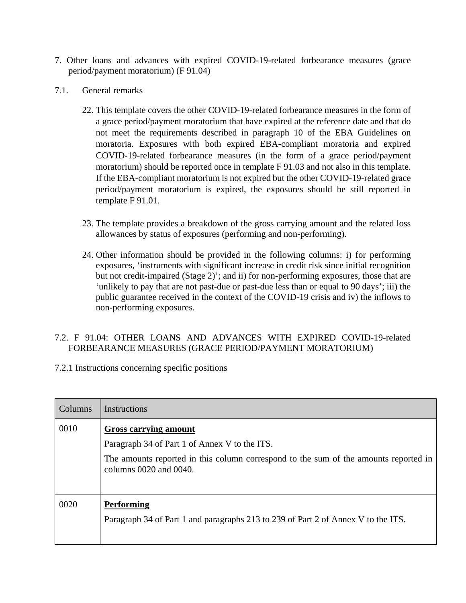- 7. Other loans and advances with expired COVID-19-related forbearance measures (grace period/payment moratorium) (F 91.04)
- 7.1. General remarks
	- 22. This template covers the other COVID-19-related forbearance measures in the form of a grace period/payment moratorium that have expired at the reference date and that do not meet the requirements described in paragraph 10 of the EBA Guidelines on moratoria. Exposures with both expired EBA-compliant moratoria and expired COVID-19-related forbearance measures (in the form of a grace period/payment moratorium) should be reported once in template F 91.03 and not also in this template. If the EBA-compliant moratorium is not expired but the other COVID-19-related grace period/payment moratorium is expired, the exposures should be still reported in template F 91.01.
	- 23. The template provides a breakdown of the gross carrying amount and the related loss allowances by status of exposures (performing and non-performing).
	- 24. Other information should be provided in the following columns: i) for performing exposures, 'instruments with significant increase in credit risk since initial recognition but not credit-impaired (Stage 2)'; and ii) for non-performing exposures, those that are 'unlikely to pay that are not past-due or past-due less than or equal to 90 days'; iii) the public guarantee received in the context of the COVID-19 crisis and iv) the inflows to non-performing exposures.

## 7.2. F 91.04: OTHER LOANS AND ADVANCES WITH EXPIRED COVID-19-related FORBEARANCE MEASURES (GRACE PERIOD/PAYMENT MORATORIUM)

| Columns | Instructions                                                                                                                                                                                    |
|---------|-------------------------------------------------------------------------------------------------------------------------------------------------------------------------------------------------|
| 0010    | <b>Gross carrying amount</b><br>Paragraph 34 of Part 1 of Annex V to the ITS.<br>The amounts reported in this column correspond to the sum of the amounts reported in<br>columns 0020 and 0040. |
| 0020    | <b>Performing</b><br>Paragraph 34 of Part 1 and paragraphs 213 to 239 of Part 2 of Annex V to the ITS.                                                                                          |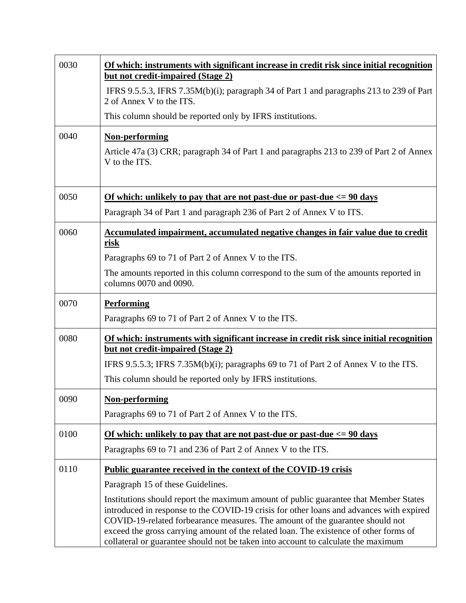| 0030 | Of which: instruments with significant increase in credit risk since initial recognition<br>but not credit-impaired (Stage 2)                                                                                                                                                                                                                                                                                                                  |
|------|------------------------------------------------------------------------------------------------------------------------------------------------------------------------------------------------------------------------------------------------------------------------------------------------------------------------------------------------------------------------------------------------------------------------------------------------|
|      | IFRS 9.5.5.3, IFRS 7.35M(b)(i); paragraph 34 of Part 1 and paragraphs 213 to 239 of Part<br>2 of Annex V to the ITS.                                                                                                                                                                                                                                                                                                                           |
|      | This column should be reported only by IFRS institutions.                                                                                                                                                                                                                                                                                                                                                                                      |
| 0040 | <b>Non-performing</b><br>Article 47a (3) CRR; paragraph 34 of Part 1 and paragraphs 213 to 239 of Part 2 of Annex<br>V to the ITS.                                                                                                                                                                                                                                                                                                             |
| 0050 | <u>Of which: unlikely to pay that are not past-due or past-due <math>\epsilon</math> = 90 days</u>                                                                                                                                                                                                                                                                                                                                             |
|      | Paragraph 34 of Part 1 and paragraph 236 of Part 2 of Annex V to ITS.                                                                                                                                                                                                                                                                                                                                                                          |
| 0060 | Accumulated impairment, accumulated negative changes in fair value due to credit<br><u>risk</u>                                                                                                                                                                                                                                                                                                                                                |
|      | Paragraphs 69 to 71 of Part 2 of Annex V to the ITS.                                                                                                                                                                                                                                                                                                                                                                                           |
|      | The amounts reported in this column correspond to the sum of the amounts reported in<br>columns 0070 and 0090.                                                                                                                                                                                                                                                                                                                                 |
| 0070 | <b>Performing</b>                                                                                                                                                                                                                                                                                                                                                                                                                              |
|      | Paragraphs 69 to 71 of Part 2 of Annex V to the ITS.                                                                                                                                                                                                                                                                                                                                                                                           |
| 0080 | Of which: instruments with significant increase in credit risk since initial recognition                                                                                                                                                                                                                                                                                                                                                       |
|      | but not credit-impaired (Stage 2)                                                                                                                                                                                                                                                                                                                                                                                                              |
|      | IFRS 9.5.5.3; IFRS 7.35M(b)(i); paragraphs 69 to 71 of Part 2 of Annex V to the ITS.<br>This column should be reported only by IFRS institutions.                                                                                                                                                                                                                                                                                              |
|      |                                                                                                                                                                                                                                                                                                                                                                                                                                                |
| 0090 | Non-performing<br>Paragraphs 69 to 71 of Part 2 of Annex V to the ITS.                                                                                                                                                                                                                                                                                                                                                                         |
|      |                                                                                                                                                                                                                                                                                                                                                                                                                                                |
| 0100 | Of which: unlikely to pay that are not past-due or past-due $\epsilon$ = 90 days<br>Paragraphs 69 to 71 and 236 of Part 2 of Annex V to the ITS.                                                                                                                                                                                                                                                                                               |
|      |                                                                                                                                                                                                                                                                                                                                                                                                                                                |
| 0110 | Public guarantee received in the context of the COVID-19 crisis                                                                                                                                                                                                                                                                                                                                                                                |
|      | Paragraph 15 of these Guidelines.                                                                                                                                                                                                                                                                                                                                                                                                              |
|      | Institutions should report the maximum amount of public guarantee that Member States<br>introduced in response to the COVID-19 crisis for other loans and advances with expired<br>COVID-19-related forbearance measures. The amount of the guarantee should not<br>exceed the gross carrying amount of the related loan. The existence of other forms of<br>collateral or guarantee should not be taken into account to calculate the maximum |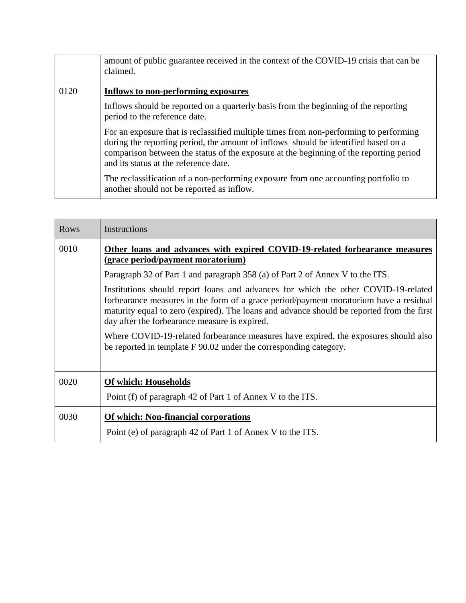|      | amount of public guarantee received in the context of the COVID-19 crisis that can be<br>claimed.                                                                                                                                                                                                              |
|------|----------------------------------------------------------------------------------------------------------------------------------------------------------------------------------------------------------------------------------------------------------------------------------------------------------------|
| 0120 | Inflows to non-performing exposures                                                                                                                                                                                                                                                                            |
|      | Inflows should be reported on a quarterly basis from the beginning of the reporting<br>period to the reference date.                                                                                                                                                                                           |
|      | For an exposure that is reclassified multiple times from non-performing to performing<br>during the reporting period, the amount of inflows should be identified based on a<br>comparison between the status of the exposure at the beginning of the reporting period<br>and its status at the reference date. |
|      | The reclassification of a non-performing exposure from one accounting portfolio to<br>another should not be reported as inflow.                                                                                                                                                                                |

| <b>Rows</b> | Instructions                                                                                                                                                                                                                                                                                                              |
|-------------|---------------------------------------------------------------------------------------------------------------------------------------------------------------------------------------------------------------------------------------------------------------------------------------------------------------------------|
| 0010        | Other loans and advances with expired COVID-19-related forbearance measures<br>(grace period/payment moratorium)                                                                                                                                                                                                          |
|             | Paragraph 32 of Part 1 and paragraph 358 (a) of Part 2 of Annex V to the ITS.                                                                                                                                                                                                                                             |
|             | Institutions should report loans and advances for which the other COVID-19-related<br>forbearance measures in the form of a grace period/payment moratorium have a residual<br>maturity equal to zero (expired). The loans and advance should be reported from the first<br>day after the forbearance measure is expired. |
|             | Where COVID-19-related forbearance measures have expired, the exposures should also<br>be reported in template F 90.02 under the corresponding category.                                                                                                                                                                  |
| 0020        | <b>Of which: Households</b>                                                                                                                                                                                                                                                                                               |
|             | Point (f) of paragraph 42 of Part 1 of Annex V to the ITS.                                                                                                                                                                                                                                                                |
| 0030        | Of which: Non-financial corporations                                                                                                                                                                                                                                                                                      |
|             | Point (e) of paragraph 42 of Part 1 of Annex V to the ITS.                                                                                                                                                                                                                                                                |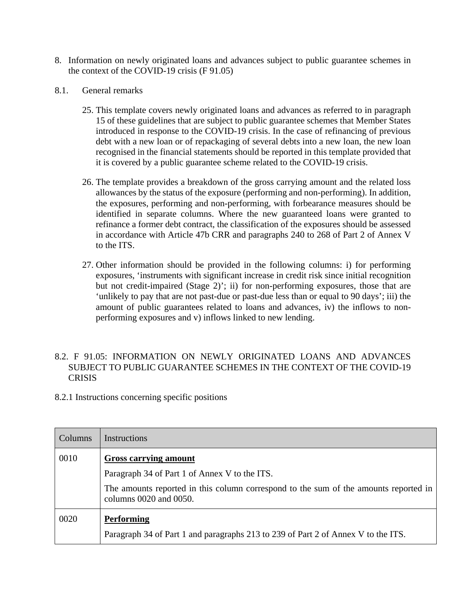- 8. Information on newly originated loans and advances subject to public guarantee schemes in the context of the COVID-19 crisis (F 91.05)
- 8.1. General remarks
	- 25. This template covers newly originated loans and advances as referred to in paragraph 15 of these guidelines that are subject to public guarantee schemes that Member States introduced in response to the COVID-19 crisis. In the case of refinancing of previous debt with a new loan or of repackaging of several debts into a new loan, the new loan recognised in the financial statements should be reported in this template provided that it is covered by a public guarantee scheme related to the COVID-19 crisis.
	- 26. The template provides a breakdown of the gross carrying amount and the related loss allowances by the status of the exposure (performing and non-performing). In addition, the exposures, performing and non-performing, with forbearance measures should be identified in separate columns. Where the new guaranteed loans were granted to refinance a former debt contract, the classification of the exposures should be assessed in accordance with Article 47b CRR and paragraphs 240 to 268 of Part 2 of Annex V to the ITS.
	- 27. Other information should be provided in the following columns: i) for performing exposures, 'instruments with significant increase in credit risk since initial recognition but not credit-impaired (Stage 2)'; ii) for non-performing exposures, those that are 'unlikely to pay that are not past-due or past-due less than or equal to 90 days'; iii) the amount of public guarantees related to loans and advances, iv) the inflows to nonperforming exposures and v) inflows linked to new lending.

## 8.2. F 91.05: INFORMATION ON NEWLY ORIGINATED LOANS AND ADVANCES SUBJECT TO PUBLIC GUARANTEE SCHEMES IN THE CONTEXT OF THE COVID-19 **CRISIS**

| Columns | Instructions                                                                                                   |
|---------|----------------------------------------------------------------------------------------------------------------|
| 0010    | <b>Gross carrying amount</b>                                                                                   |
|         | Paragraph 34 of Part 1 of Annex V to the ITS.                                                                  |
|         | The amounts reported in this column correspond to the sum of the amounts reported in<br>columns 0020 and 0050. |
| 0020    | <b>Performing</b>                                                                                              |
|         | Paragraph 34 of Part 1 and paragraphs 213 to 239 of Part 2 of Annex V to the ITS.                              |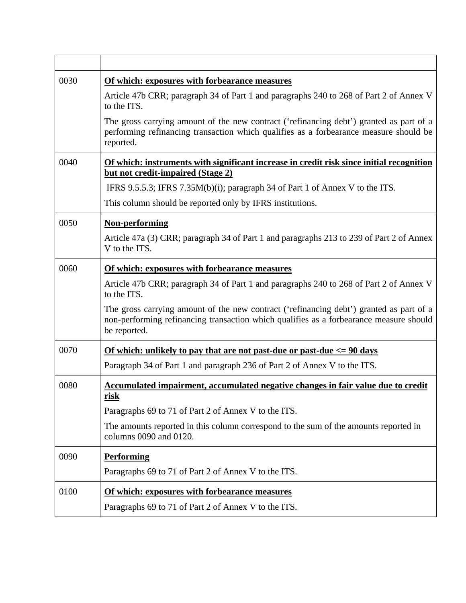| 0030 | Of which: exposures with forbearance measures                                                                                                                                                     |
|------|---------------------------------------------------------------------------------------------------------------------------------------------------------------------------------------------------|
|      | Article 47b CRR; paragraph 34 of Part 1 and paragraphs 240 to 268 of Part 2 of Annex V<br>to the ITS.                                                                                             |
|      | The gross carrying amount of the new contract ('refinancing debt') granted as part of a<br>performing refinancing transaction which qualifies as a forbearance measure should be<br>reported.     |
| 0040 | Of which: instruments with significant increase in credit risk since initial recognition<br>but not credit-impaired (Stage 2)                                                                     |
|      | IFRS 9.5.5.3; IFRS 7.35 $M(b)(i)$ ; paragraph 34 of Part 1 of Annex V to the ITS.                                                                                                                 |
|      | This column should be reported only by IFRS institutions.                                                                                                                                         |
| 0050 | <b>Non-performing</b>                                                                                                                                                                             |
|      | Article 47a (3) CRR; paragraph 34 of Part 1 and paragraphs 213 to 239 of Part 2 of Annex<br>V to the ITS.                                                                                         |
| 0060 | Of which: exposures with forbearance measures                                                                                                                                                     |
|      | Article 47b CRR; paragraph 34 of Part 1 and paragraphs 240 to 268 of Part 2 of Annex V<br>to the ITS.                                                                                             |
|      | The gross carrying amount of the new contract ('refinancing debt') granted as part of a<br>non-performing refinancing transaction which qualifies as a forbearance measure should<br>be reported. |
| 0070 | <u>Of which: unlikely to pay that are not past-due or past-due <math>\epsilon</math> = 90 days</u>                                                                                                |
|      | Paragraph 34 of Part 1 and paragraph 236 of Part 2 of Annex V to the ITS.                                                                                                                         |
| 0080 | Accumulated impairment, accumulated negative changes in fair value due to credit<br>risk                                                                                                          |
|      | Paragraphs 69 to 71 of Part 2 of Annex V to the ITS.                                                                                                                                              |
|      | The amounts reported in this column correspond to the sum of the amounts reported in<br>columns 0090 and 0120.                                                                                    |
| 0090 | <b>Performing</b>                                                                                                                                                                                 |
|      | Paragraphs 69 to 71 of Part 2 of Annex V to the ITS.                                                                                                                                              |
| 0100 | Of which: exposures with forbearance measures                                                                                                                                                     |
|      | Paragraphs 69 to 71 of Part 2 of Annex V to the ITS.                                                                                                                                              |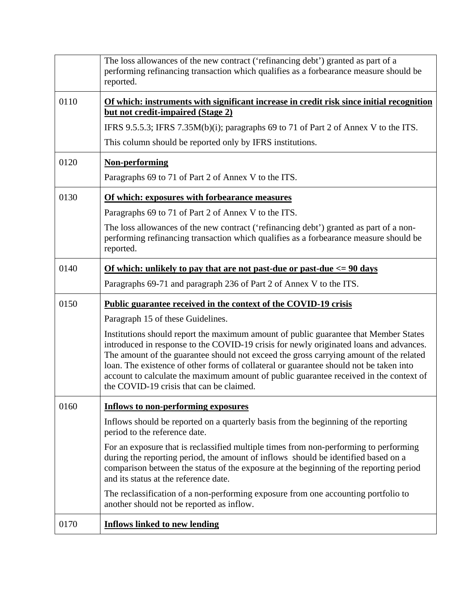|      | The loss allowances of the new contract ('refinancing debt') granted as part of a<br>performing refinancing transaction which qualifies as a forbearance measure should be<br>reported.                                                                                                                                                                                                                                                                                                                                                                                                                                 |
|------|-------------------------------------------------------------------------------------------------------------------------------------------------------------------------------------------------------------------------------------------------------------------------------------------------------------------------------------------------------------------------------------------------------------------------------------------------------------------------------------------------------------------------------------------------------------------------------------------------------------------------|
| 0110 | Of which: instruments with significant increase in credit risk since initial recognition<br>but not credit-impaired (Stage 2)<br>IFRS 9.5.5.3; IFRS 7.35M(b)(i); paragraphs 69 to 71 of Part 2 of Annex V to the ITS.<br>This column should be reported only by IFRS institutions.                                                                                                                                                                                                                                                                                                                                      |
| 0120 | <b>Non-performing</b><br>Paragraphs 69 to 71 of Part 2 of Annex V to the ITS.                                                                                                                                                                                                                                                                                                                                                                                                                                                                                                                                           |
| 0130 | Of which: exposures with forbearance measures<br>Paragraphs 69 to 71 of Part 2 of Annex V to the ITS.<br>The loss allowances of the new contract ('refinancing debt') granted as part of a non-<br>performing refinancing transaction which qualifies as a forbearance measure should be<br>reported.                                                                                                                                                                                                                                                                                                                   |
| 0140 | <u>Of which: unlikely to pay that are not past-due or past-due <math>\epsilon</math> = 90 days</u><br>Paragraphs 69-71 and paragraph 236 of Part 2 of Annex V to the ITS.                                                                                                                                                                                                                                                                                                                                                                                                                                               |
| 0150 | <b>Public guarantee received in the context of the COVID-19 crisis</b><br>Paragraph 15 of these Guidelines.<br>Institutions should report the maximum amount of public guarantee that Member States<br>introduced in response to the COVID-19 crisis for newly originated loans and advances.<br>The amount of the guarantee should not exceed the gross carrying amount of the related<br>loan. The existence of other forms of collateral or guarantee should not be taken into<br>account to calculate the maximum amount of public guarantee received in the context of<br>the COVID-19 crisis that can be claimed. |
| 0160 | <b>Inflows to non-performing exposures</b><br>Inflows should be reported on a quarterly basis from the beginning of the reporting<br>period to the reference date.<br>For an exposure that is reclassified multiple times from non-performing to performing<br>during the reporting period, the amount of inflows should be identified based on a<br>comparison between the status of the exposure at the beginning of the reporting period<br>and its status at the reference date.<br>The reclassification of a non-performing exposure from one accounting portfolio to<br>another should not be reported as inflow. |
| 0170 | <b>Inflows linked to new lending</b>                                                                                                                                                                                                                                                                                                                                                                                                                                                                                                                                                                                    |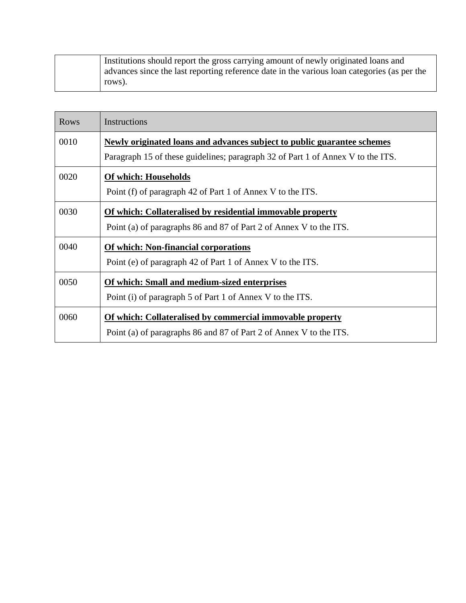| Institutions should report the gross carrying amount of newly originated loans and          |
|---------------------------------------------------------------------------------------------|
| advances since the last reporting reference date in the various loan categories (as per the |
| rows).                                                                                      |

| Rows | Instructions                                                                    |
|------|---------------------------------------------------------------------------------|
| 0010 | Newly originated loans and advances subject to public guarantee schemes         |
|      | Paragraph 15 of these guidelines; paragraph 32 of Part 1 of Annex V to the ITS. |
| 0020 | <b>Of which: Households</b>                                                     |
|      | Point (f) of paragraph 42 of Part 1 of Annex V to the ITS.                      |
| 0030 | Of which: Collateralised by residential immovable property                      |
|      | Point (a) of paragraphs 86 and 87 of Part 2 of Annex V to the ITS.              |
| 0040 | Of which: Non-financial corporations                                            |
|      | Point (e) of paragraph 42 of Part 1 of Annex V to the ITS.                      |
| 0050 | Of which: Small and medium-sized enterprises                                    |
|      | Point (i) of paragraph 5 of Part 1 of Annex V to the ITS.                       |
| 0060 | Of which: Collateralised by commercial immovable property                       |
|      | Point (a) of paragraphs 86 and 87 of Part 2 of Annex V to the ITS.              |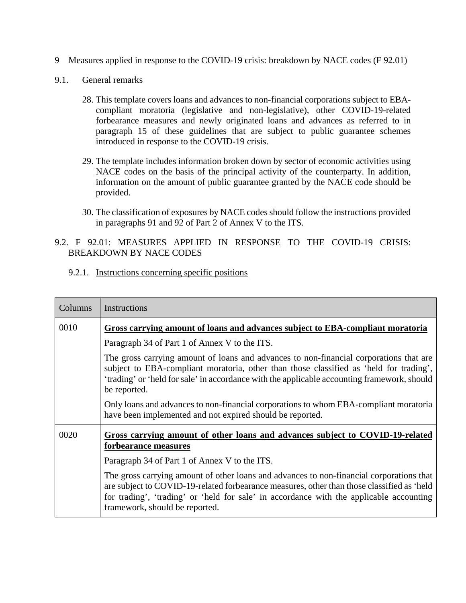- 9 Measures applied in response to the COVID-19 crisis: breakdown by NACE codes (F 92.01)
- 9.1. General remarks
	- 28. This template covers loans and advances to non-financial corporations subject to EBAcompliant moratoria (legislative and non-legislative), other COVID-19-related forbearance measures and newly originated loans and advances as referred to in paragraph 15 of these guidelines that are subject to public guarantee schemes introduced in response to the COVID-19 crisis.
	- 29. The template includes information broken down by sector of economic activities using NACE codes on the basis of the principal activity of the counterparty. In addition, information on the amount of public guarantee granted by the NACE code should be provided.
	- 30. The classification of exposures by NACE codes should follow the instructions provided in paragraphs 91 and 92 of Part 2 of Annex V to the ITS.

### 9.2. F 92.01: MEASURES APPLIED IN RESPONSE TO THE COVID-19 CRISIS: BREAKDOWN BY NACE CODES

| Columns | Instructions                                                                                                                                                                                                                                                                                                        |
|---------|---------------------------------------------------------------------------------------------------------------------------------------------------------------------------------------------------------------------------------------------------------------------------------------------------------------------|
| 0010    | Gross carrying amount of loans and advances subject to EBA-compliant moratoria                                                                                                                                                                                                                                      |
|         | Paragraph 34 of Part 1 of Annex V to the ITS.                                                                                                                                                                                                                                                                       |
|         | The gross carrying amount of loans and advances to non-financial corporations that are<br>subject to EBA-compliant moratoria, other than those classified as 'held for trading',<br>'trading' or 'held for sale' in accordance with the applicable accounting framework, should<br>be reported.                     |
|         | Only loans and advances to non-financial corporations to whom EBA-compliant moratoria<br>have been implemented and not expired should be reported.                                                                                                                                                                  |
| 0020    | Gross carrying amount of other loans and advances subject to COVID-19-related<br>forbearance measures<br>Paragraph 34 of Part 1 of Annex V to the ITS.                                                                                                                                                              |
|         | The gross carrying amount of other loans and advances to non-financial corporations that<br>are subject to COVID-19-related forbearance measures, other than those classified as 'held<br>for trading', 'trading' or 'held for sale' in accordance with the applicable accounting<br>framework, should be reported. |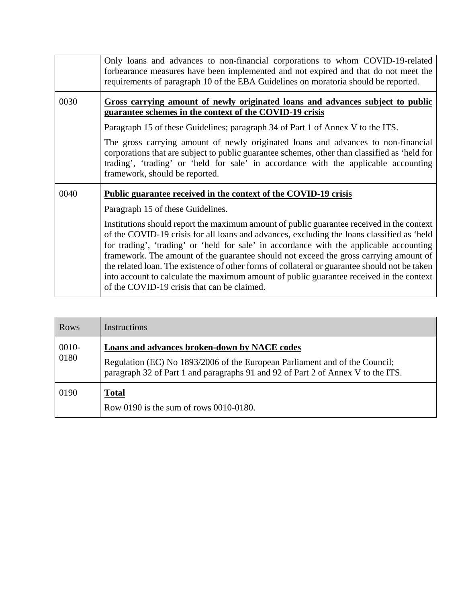|      | Only loans and advances to non-financial corporations to whom COVID-19-related<br>forbearance measures have been implemented and not expired and that do not meet the<br>requirements of paragraph 10 of the EBA Guidelines on moratoria should be reported.                                                                                                                                                                                                                                                                                                                                                            |
|------|-------------------------------------------------------------------------------------------------------------------------------------------------------------------------------------------------------------------------------------------------------------------------------------------------------------------------------------------------------------------------------------------------------------------------------------------------------------------------------------------------------------------------------------------------------------------------------------------------------------------------|
| 0030 | Gross carrying amount of newly originated loans and advances subject to public<br>guarantee schemes in the context of the COVID-19 crisis                                                                                                                                                                                                                                                                                                                                                                                                                                                                               |
|      | Paragraph 15 of these Guidelines; paragraph 34 of Part 1 of Annex V to the ITS.                                                                                                                                                                                                                                                                                                                                                                                                                                                                                                                                         |
|      | The gross carrying amount of newly originated loans and advances to non-financial<br>corporations that are subject to public guarantee schemes, other than classified as 'held for<br>trading', 'trading' or 'held for sale' in accordance with the applicable accounting<br>framework, should be reported.                                                                                                                                                                                                                                                                                                             |
| 0040 | <b>Public guarantee received in the context of the COVID-19 crisis</b>                                                                                                                                                                                                                                                                                                                                                                                                                                                                                                                                                  |
|      | Paragraph 15 of these Guidelines.                                                                                                                                                                                                                                                                                                                                                                                                                                                                                                                                                                                       |
|      | Institutions should report the maximum amount of public guarantee received in the context<br>of the COVID-19 crisis for all loans and advances, excluding the loans classified as 'held<br>for trading', 'trading' or 'held for sale' in accordance with the applicable accounting<br>framework. The amount of the guarantee should not exceed the gross carrying amount of<br>the related loan. The existence of other forms of collateral or guarantee should not be taken<br>into account to calculate the maximum amount of public guarantee received in the context<br>of the COVID-19 crisis that can be claimed. |

| <b>Rows</b>   | Instructions                                                                                                                                                                                                    |
|---------------|-----------------------------------------------------------------------------------------------------------------------------------------------------------------------------------------------------------------|
| 0010-<br>0180 | Loans and advances broken-down by NACE codes<br>Regulation (EC) No 1893/2006 of the European Parliament and of the Council;<br>paragraph 32 of Part 1 and paragraphs 91 and 92 of Part 2 of Annex V to the ITS. |
| 0190          | <b>Total</b><br>Row 0190 is the sum of rows 0010-0180.                                                                                                                                                          |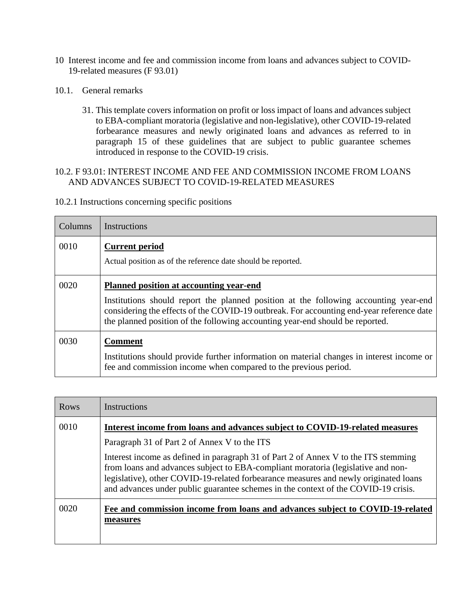- 10 Interest income and fee and commission income from loans and advances subject to COVID-19-related measures (F 93.01)
- 10.1. General remarks
	- 31. This template covers information on profit or loss impact of loans and advances subject to EBA-compliant moratoria (legislative and non-legislative), other COVID-19-related forbearance measures and newly originated loans and advances as referred to in paragraph 15 of these guidelines that are subject to public guarantee schemes introduced in response to the COVID-19 crisis.

### 10.2. F 93.01: INTEREST INCOME AND FEE AND COMMISSION INCOME FROM LOANS AND ADVANCES SUBJECT TO COVID-19-RELATED MEASURES

| Columns | Instructions                                                                                                                                                                                                                                                                                                        |
|---------|---------------------------------------------------------------------------------------------------------------------------------------------------------------------------------------------------------------------------------------------------------------------------------------------------------------------|
| 0010    | <b>Current period</b><br>Actual position as of the reference date should be reported.                                                                                                                                                                                                                               |
| 0020    | <b>Planned position at accounting year-end</b><br>Institutions should report the planned position at the following accounting year-end<br>considering the effects of the COVID-19 outbreak. For accounting end-year reference date<br>the planned position of the following accounting year-end should be reported. |
| 0030    | <b>Comment</b><br>Institutions should provide further information on material changes in interest income or<br>fee and commission income when compared to the previous period.                                                                                                                                      |

| Rows | Instructions                                                                                                                                                                                                                                                                                                                                          |
|------|-------------------------------------------------------------------------------------------------------------------------------------------------------------------------------------------------------------------------------------------------------------------------------------------------------------------------------------------------------|
| 0010 | Interest income from loans and advances subject to COVID-19-related measures                                                                                                                                                                                                                                                                          |
|      | Paragraph 31 of Part 2 of Annex V to the ITS                                                                                                                                                                                                                                                                                                          |
|      | Interest income as defined in paragraph 31 of Part 2 of Annex V to the ITS stemming<br>from loans and advances subject to EBA-compliant moratoria (legislative and non-<br>legislative), other COVID-19-related forbearance measures and newly originated loans<br>and advances under public guarantee schemes in the context of the COVID-19 crisis. |
| 0020 | Fee and commission income from loans and advances subject to COVID-19-related<br>measures                                                                                                                                                                                                                                                             |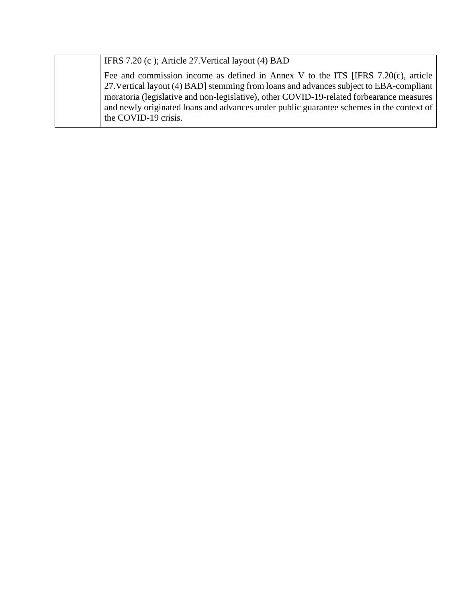IFRS 7.20 (c ); Article 27.Vertical layout (4) BAD

Fee and commission income as defined in Annex V to the ITS [IFRS 7.20(c), article 27.Vertical layout (4) BAD] stemming from loans and advances subject to EBA-compliant moratoria (legislative and non-legislative), other COVID-19-related forbearance measures and newly originated loans and advances under public guarantee schemes in the context of the COVID-19 crisis.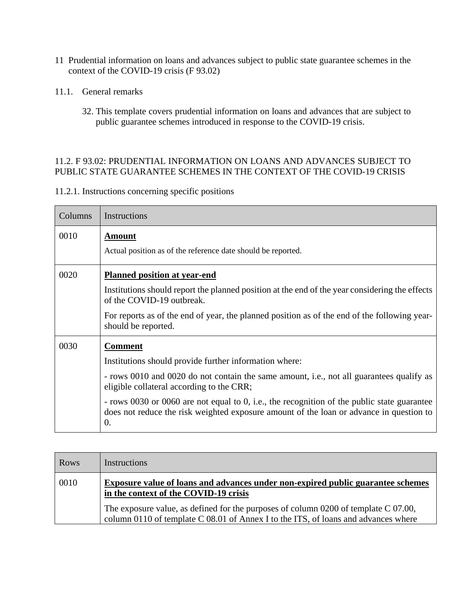- 11 Prudential information on loans and advances subject to public state guarantee schemes in the context of the COVID-19 crisis (F 93.02)
- 11.1. General remarks
	- 32. This template covers prudential information on loans and advances that are subject to public guarantee schemes introduced in response to the COVID-19 crisis.

#### 11.2. F 93.02: PRUDENTIAL INFORMATION ON LOANS AND ADVANCES SUBJECT TO PUBLIC STATE GUARANTEE SCHEMES IN THE CONTEXT OF THE COVID-19 CRISIS

| Columns | Instructions                                                                                                                                                                                                                                                                                                                                                                                                      |
|---------|-------------------------------------------------------------------------------------------------------------------------------------------------------------------------------------------------------------------------------------------------------------------------------------------------------------------------------------------------------------------------------------------------------------------|
| 0010    | Amount<br>Actual position as of the reference date should be reported.                                                                                                                                                                                                                                                                                                                                            |
| 0020    | <b>Planned position at year-end</b><br>Institutions should report the planned position at the end of the year considering the effects<br>of the COVID-19 outbreak.<br>For reports as of the end of year, the planned position as of the end of the following year-<br>should be reported.                                                                                                                         |
| 0030    | <b>Comment</b><br>Institutions should provide further information where:<br>- rows 0010 and 0020 do not contain the same amount, i.e., not all guarantees qualify as<br>eligible collateral according to the CRR;<br>- rows 0030 or 0060 are not equal to 0, i.e., the recognition of the public state guarantee<br>does not reduce the risk weighted exposure amount of the loan or advance in question to<br>0. |

| <b>Rows</b> | Instructions                                                                                                                                                                |
|-------------|-----------------------------------------------------------------------------------------------------------------------------------------------------------------------------|
| 0010        | <b>Exposure value of loans and advances under non-expired public guarantee schemes</b><br>in the context of the COVID-19 crisis                                             |
|             | The exposure value, as defined for the purposes of column 0200 of template $C$ 07.00,<br>column 0110 of template C 08.01 of Annex I to the ITS, of loans and advances where |